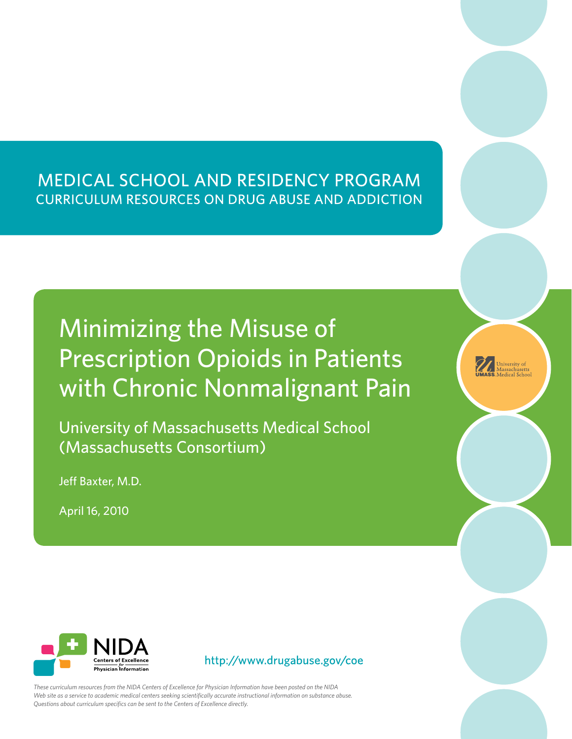# MEDICAL SCHOOL AND RESIDENCY PROGRAM **CURRICULUM RESOURCES ON DRUG ABUSE AND ADDICTION**

# Minimizing the Misuse of Prescription Opioids in Patients with Chronic Nonmalignant Pain

University of Massachusetts Medical School (Massachusetts Consortium)

Jeff Baxter, M.D.

April 16, 2010



*These curriculum resources from the NIDA Centers of Excellence for Physician Information have been posted on the NIDA Web site as a service to academic medical centers seeking scientifically accurate instructional information on substance abuse. Questions about curriculum specifics can be sent to the Centers of Excellence directly.*

Information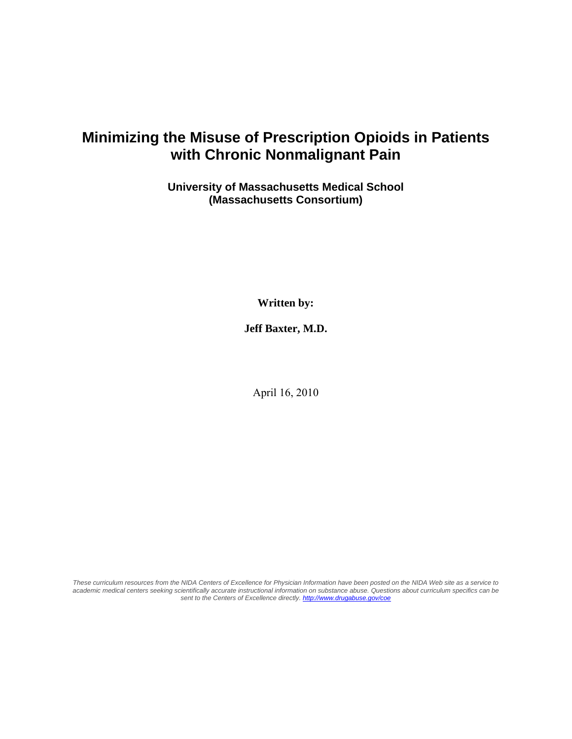# **Minimizing the Misuse of Prescription Opioids in Patients with Chronic Nonmalignant Pain**

#### **University of Massachusetts Medical School (Massachusetts Consortium)**

**Written by:** 

**Jeff Baxter, M.D.** 

April 16, 2010

*These curriculum resources from the NIDA Centers of Excellence for Physician Information have been posted on the NIDA Web site as a service to academic medical centers seeking scientifically accurate instructional information on substance abuse. Questions about curriculum specifics can be sent to the Centers of Excellence directly. http://www.drugabuse.gov/coe*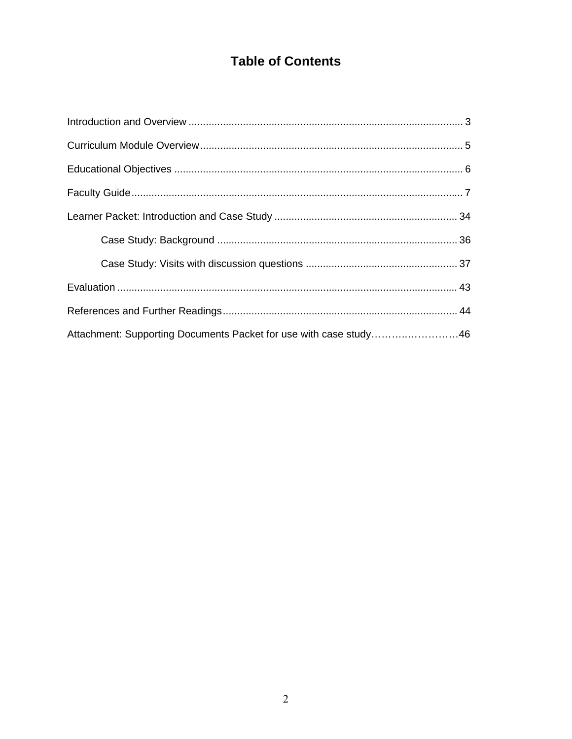# **Table of Contents**

| Attachment: Supporting Documents Packet for use with case study46 |  |
|-------------------------------------------------------------------|--|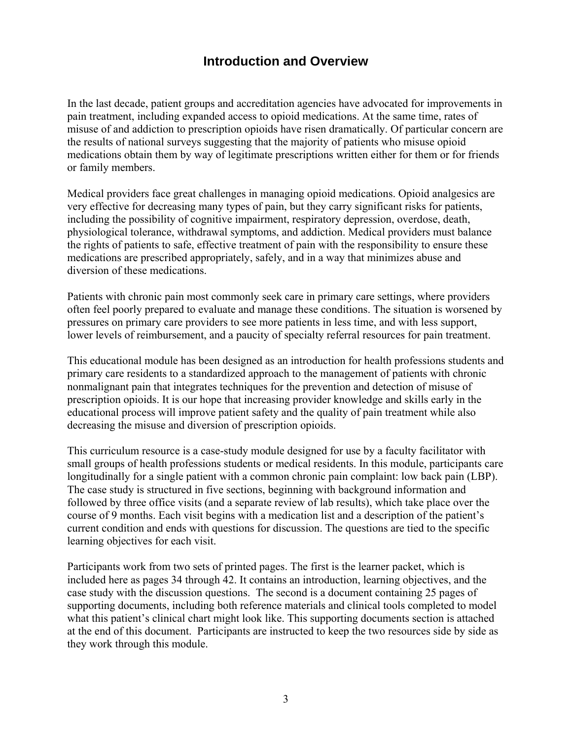# **Introduction and Overview**

<span id="page-3-0"></span>In the last decade, patient groups and accreditation agencies have advocated for improvements in pain treatment, including expanded access to opioid medications. At the same time, rates of misuse of and addiction to prescription opioids have risen dramatically. Of particular concern are the results of national surveys suggesting that the majority of patients who misuse opioid medications obtain them by way of legitimate prescriptions written either for them or for friends or family members.

Medical providers face great challenges in managing opioid medications. Opioid analgesics are very effective for decreasing many types of pain, but they carry significant risks for patients, including the possibility of cognitive impairment, respiratory depression, overdose, death, physiological tolerance, withdrawal symptoms, and addiction. Medical providers must balance the rights of patients to safe, effective treatment of pain with the responsibility to ensure these medications are prescribed appropriately, safely, and in a way that minimizes abuse and diversion of these medications.

Patients with chronic pain most commonly seek care in primary care settings, where providers often feel poorly prepared to evaluate and manage these conditions. The situation is worsened by pressures on primary care providers to see more patients in less time, and with less support, lower levels of reimbursement, and a paucity of specialty referral resources for pain treatment.

This educational module has been designed as an introduction for health professions students and primary care residents to a standardized approach to the management of patients with chronic nonmalignant pain that integrates techniques for the prevention and detection of misuse of prescription opioids. It is our hope that increasing provider knowledge and skills early in the educational process will improve patient safety and the quality of pain treatment while also decreasing the misuse and diversion of prescription opioids.

This curriculum resource is a case-study module designed for use by a faculty facilitator with small groups of health professions students or medical residents. In this module, participants care longitudinally for a single patient with a common chronic pain complaint: low back pain (LBP). The case study is structured in five sections, beginning with background information and followed by three office visits (and a separate review of lab results), which take place over the course of 9 months. Each visit begins with a medication list and a description of the patient's current condition and ends with questions for discussion. The questions are tied to the specific learning objectives for each visit.

Participants work from two sets of printed pages. The first is the learner packet, which is included here as pages 34 through 42. It contains an introduction, learning objectives, and the case study with the discussion questions. The second is a document containing 25 pages of supporting documents, including both reference materials and clinical tools completed to model what this patient's clinical chart might look like. This supporting documents section is attached at the end of this document. Participants are instructed to keep the two resources side by side as they work through this module.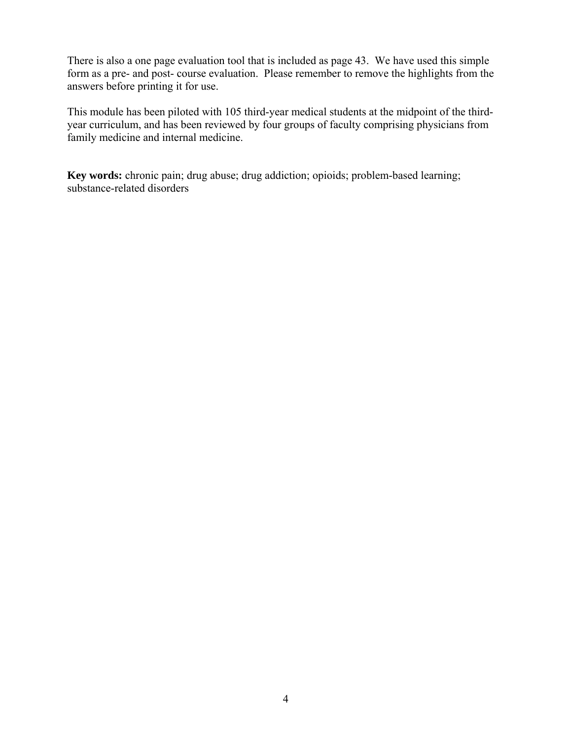There is also a one page evaluation tool that is included as page 43. We have used this simple form as a pre- and post- course evaluation. Please remember to remove the highlights from the answers before printing it for use.

This module has been piloted with 105 third-year medical students at the midpoint of the thirdyear curriculum, and has been reviewed by four groups of faculty comprising physicians from family medicine and internal medicine.

**Key words:** chronic pain; drug abuse; drug addiction; opioids; problem-based learning; substance-related disorders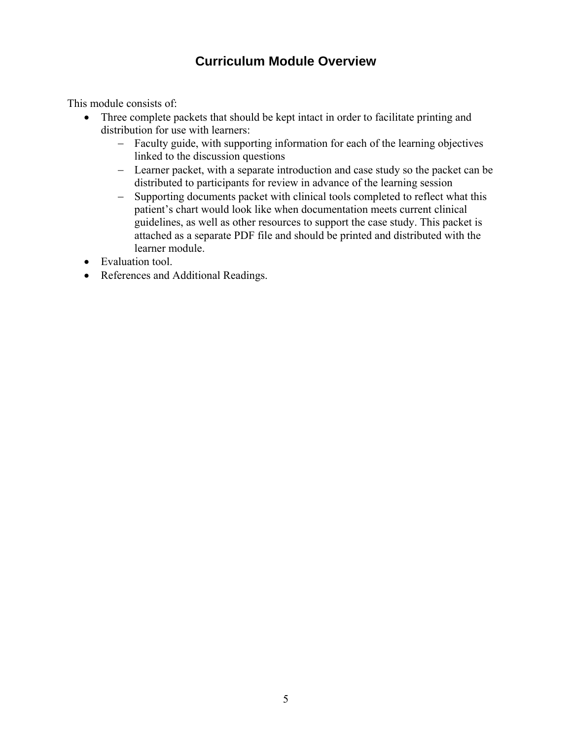# **Curriculum Module Overview**

<span id="page-5-0"></span>This module consists of:

- Three complete packets that should be kept intact in order to facilitate printing and distribution for use with learners:
	- Faculty guide, with supporting information for each of the learning objectives linked to the discussion questions
	- Learner packet, with a separate introduction and case study so the packet can be distributed to participants for review in advance of the learning session
	- Supporting documents packet with clinical tools completed to reflect what this patient's chart would look like when documentation meets current clinical guidelines, as well as other resources to support the case study. This packet is attached as a separate PDF file and should be printed and distributed with the learner module.
- Evaluation tool.
- References and Additional Readings.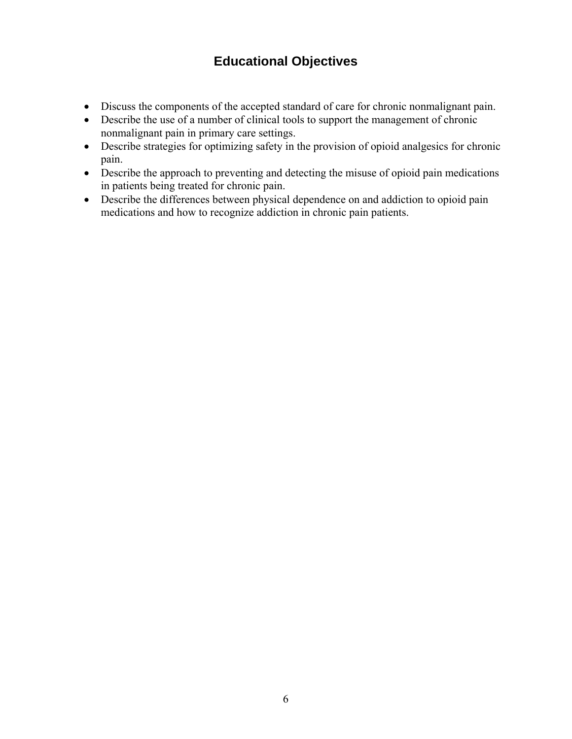# **Educational Objectives**

- <span id="page-6-0"></span> Discuss the components of the accepted standard of care for chronic nonmalignant pain.
- Describe the use of a number of clinical tools to support the management of chronic nonmalignant pain in primary care settings.
- Describe strategies for optimizing safety in the provision of opioid analgesics for chronic pain.
- Describe the approach to preventing and detecting the misuse of opioid pain medications in patients being treated for chronic pain.
- Describe the differences between physical dependence on and addiction to opioid pain medications and how to recognize addiction in chronic pain patients.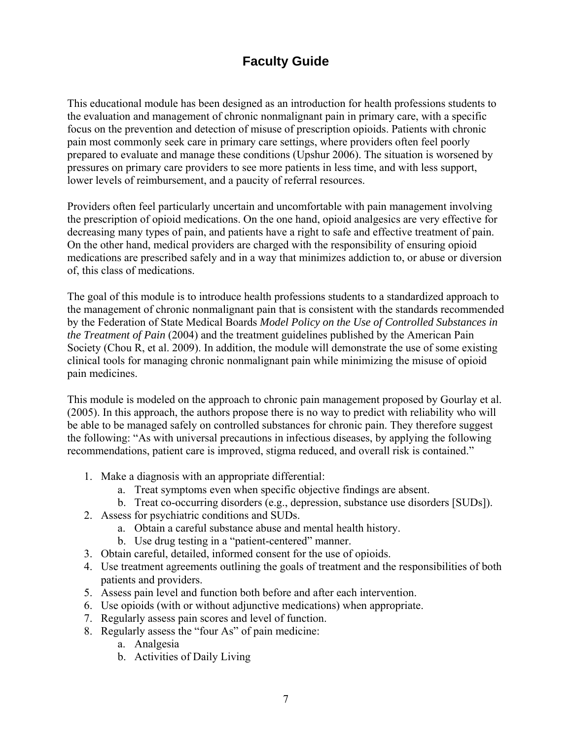# **Faculty Guide**

<span id="page-7-0"></span>This educational module has been designed as an introduction for health professions students to the evaluation and management of chronic nonmalignant pain in primary care, with a specific focus on the prevention and detection of misuse of prescription opioids. Patients with chronic pain most commonly seek care in primary care settings, where providers often feel poorly prepared to evaluate and manage these conditions (Upshur 2006). The situation is worsened by pressures on primary care providers to see more patients in less time, and with less support, lower levels of reimbursement, and a paucity of referral resources.

Providers often feel particularly uncertain and uncomfortable with pain management involving the prescription of opioid medications. On the one hand, opioid analgesics are very effective for decreasing many types of pain, and patients have a right to safe and effective treatment of pain. On the other hand, medical providers are charged with the responsibility of ensuring opioid medications are prescribed safely and in a way that minimizes addiction to, or abuse or diversion of, this class of medications.

The goal of this module is to introduce health professions students to a standardized approach to the management of chronic nonmalignant pain that is consistent with the standards recommended by the Federation of State Medical Boards *Model Policy on the Use of Controlled Substances in the Treatment of Pain* (2004) and the treatment guidelines published by the American Pain Society (Chou R, et al. 2009). In addition, the module will demonstrate the use of some existing clinical tools for managing chronic nonmalignant pain while minimizing the misuse of opioid pain medicines.

This module is modeled on the approach to chronic pain management proposed by Gourlay et al. (2005). In this approach, the authors propose there is no way to predict with reliability who will be able to be managed safely on controlled substances for chronic pain. They therefore suggest the following: "As with universal precautions in infectious diseases, by applying the following recommendations, patient care is improved, stigma reduced, and overall risk is contained."

- 1. Make a diagnosis with an appropriate differential:
	- a. Treat symptoms even when specific objective findings are absent.
	- b. Treat co-occurring disorders (e.g., depression, substance use disorders [SUDs]).
- 2. Assess for psychiatric conditions and SUDs.
	- a. Obtain a careful substance abuse and mental health history.
	- b. Use drug testing in a "patient-centered" manner.
- 3. Obtain careful, detailed, informed consent for the use of opioids.
- 4. Use treatment agreements outlining the goals of treatment and the responsibilities of both patients and providers.
- 5. Assess pain level and function both before and after each intervention.
- 6. Use opioids (with or without adjunctive medications) when appropriate.
- 7. Regularly assess pain scores and level of function.
- 8. Regularly assess the "four As" of pain medicine:
	- a. Analgesia
	- b. Activities of Daily Living 7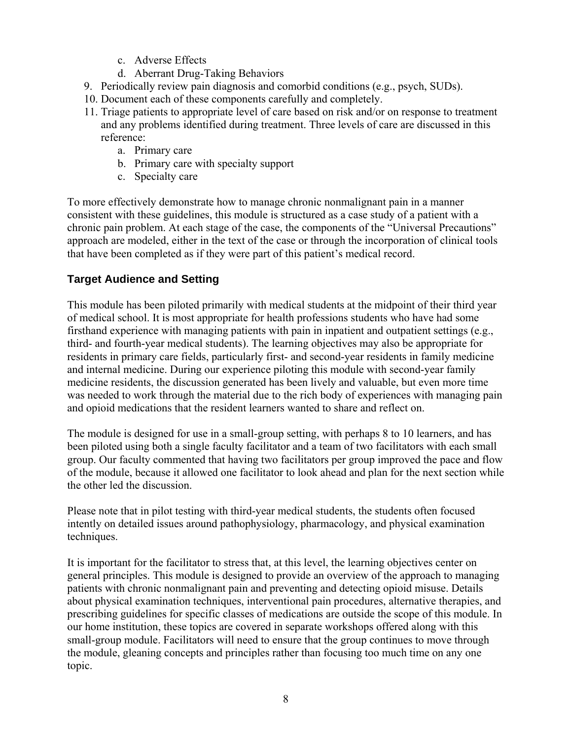- c. Adverse Effects
- d. Aberrant Drug-Taking Behaviors
- 9. Periodically review pain diagnosis and comorbid conditions (e.g., psych, SUDs).
- 10. Document each of these components carefully and completely.
- 11. Triage patients to appropriate level of care based on risk and/or on response to treatment and any problems identified during treatment. Three levels of care are discussed in this reference:
	- a. Primary care
	- b. Primary care with specialty support
	- c. Specialty care

To more effectively demonstrate how to manage chronic nonmalignant pain in a manner consistent with these guidelines, this module is structured as a case study of a patient with a chronic pain problem. At each stage of the case, the components of the "Universal Precautions" approach are modeled, either in the text of the case or through the incorporation of clinical tools that have been completed as if they were part of this patient's medical record.

# **Target Audience and Setting**

This module has been piloted primarily with medical students at the midpoint of their third year of medical school. It is most appropriate for health professions students who have had some firsthand experience with managing patients with pain in inpatient and outpatient settings (e.g., third- and fourth-year medical students). The learning objectives may also be appropriate for residents in primary care fields, particularly first- and second-year residents in family medicine and internal medicine. During our experience piloting this module with second-year family medicine residents, the discussion generated has been lively and valuable, but even more time was needed to work through the material due to the rich body of experiences with managing pain and opioid medications that the resident learners wanted to share and reflect on.

The module is designed for use in a small-group setting, with perhaps 8 to 10 learners, and has been piloted using both a single faculty facilitator and a team of two facilitators with each small group. Our faculty commented that having two facilitators per group improved the pace and flow of the module, because it allowed one facilitator to look ahead and plan for the next section while the other led the discussion.

Please note that in pilot testing with third-year medical students, the students often focused intently on detailed issues around pathophysiology, pharmacology, and physical examination techniques.

It is important for the facilitator to stress that, at this level, the learning objectives center on general principles. This module is designed to provide an overview of the approach to managing patients with chronic nonmalignant pain and preventing and detecting opioid misuse. Details about physical examination techniques, interventional pain procedures, alternative therapies, and prescribing guidelines for specific classes of medications are outside the scope of this module. In our home institution, these topics are covered in separate workshops offered along with this small-group module. Facilitators will need to ensure that the group continues to move through the module, gleaning concepts and principles rather than focusing too much time on any one topic.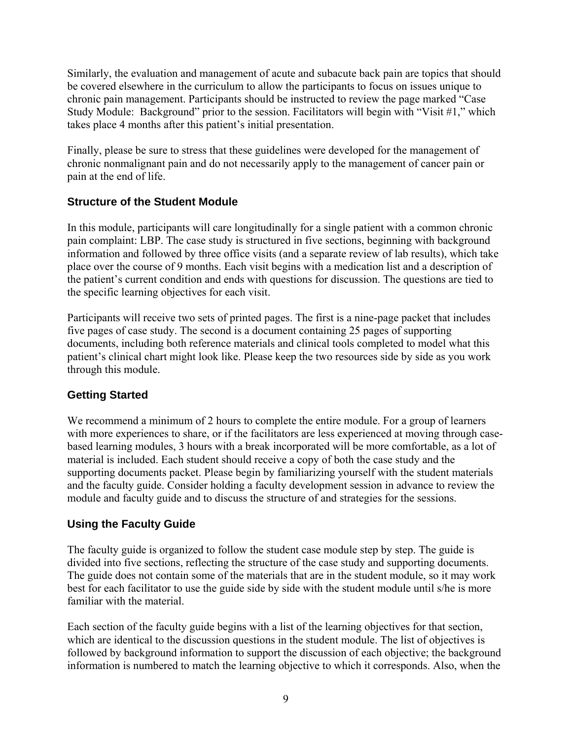Similarly, the evaluation and management of acute and subacute back pain are topics that should be covered elsewhere in the curriculum to allow the participants to focus on issues unique to chronic pain management. Participants should be instructed to review the page marked "Case Study Module: Background" prior to the session. Facilitators will begin with "Visit #1," which takes place 4 months after this patient's initial presentation.

Finally, please be sure to stress that these guidelines were developed for the management of chronic nonmalignant pain and do not necessarily apply to the management of cancer pain or pain at the end of life.

## **Structure of the Student Module**

In this module, participants will care longitudinally for a single patient with a common chronic pain complaint: LBP. The case study is structured in five sections, beginning with background information and followed by three office visits (and a separate review of lab results), which take place over the course of 9 months. Each visit begins with a medication list and a description of the patient's current condition and ends with questions for discussion. The questions are tied to the specific learning objectives for each visit.

Participants will receive two sets of printed pages. The first is a nine-page packet that includes five pages of case study. The second is a document containing 25 pages of supporting documents, including both reference materials and clinical tools completed to model what this patient's clinical chart might look like. Please keep the two resources side by side as you work through this module.

# **Getting Started**

We recommend a minimum of 2 hours to complete the entire module. For a group of learners with more experiences to share, or if the facilitators are less experienced at moving through casebased learning modules, 3 hours with a break incorporated will be more comfortable, as a lot of material is included. Each student should receive a copy of both the case study and the supporting documents packet. Please begin by familiarizing yourself with the student materials and the faculty guide. Consider holding a faculty development session in advance to review the module and faculty guide and to discuss the structure of and strategies for the sessions.

# **Using the Faculty Guide**

The faculty guide is organized to follow the student case module step by step. The guide is divided into five sections, reflecting the structure of the case study and supporting documents. The guide does not contain some of the materials that are in the student module, so it may work best for each facilitator to use the guide side by side with the student module until s/he is more familiar with the material.

Each section of the faculty guide begins with a list of the learning objectives for that section, which are identical to the discussion questions in the student module. The list of objectives is followed by background information to support the discussion of each objective; the background information is numbered to match the learning objective to which it corresponds. Also, when the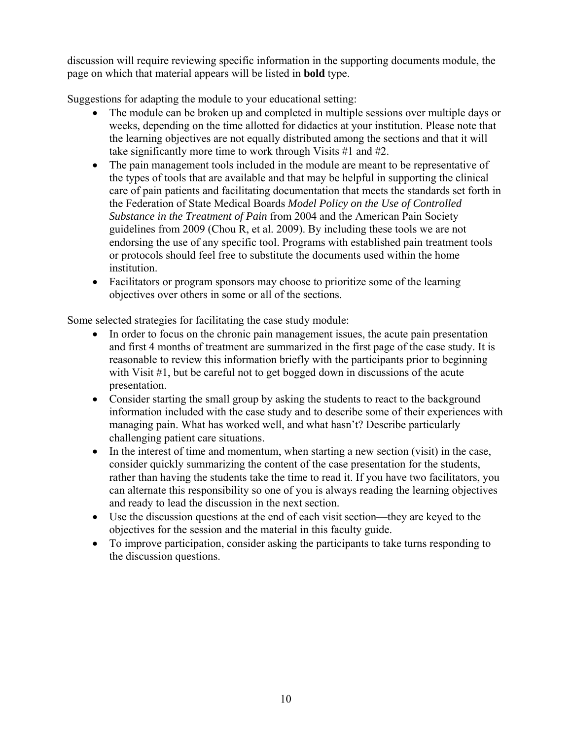discussion will require reviewing specific information in the supporting documents module, the page on which that material appears will be listed in **bold** type.

Suggestions for adapting the module to your educational setting:

- The module can be broken up and completed in multiple sessions over multiple days or weeks, depending on the time allotted for didactics at your institution. Please note that the learning objectives are not equally distributed among the sections and that it will take significantly more time to work through Visits #1 and #2.
- The pain management tools included in the module are meant to be representative of the types of tools that are available and that may be helpful in supporting the clinical care of pain patients and facilitating documentation that meets the standards set forth in the Federation of State Medical Boards *Model Policy on the Use of Controlled Substance in the Treatment of Pain* from 2004 and the American Pain Society guidelines from 2009 (Chou R, et al. 2009). By including these tools we are not endorsing the use of any specific tool. Programs with established pain treatment tools or protocols should feel free to substitute the documents used within the home institution.
- Facilitators or program sponsors may choose to prioritize some of the learning objectives over others in some or all of the sections.

Some selected strategies for facilitating the case study module:

- In order to focus on the chronic pain management issues, the acute pain presentation and first 4 months of treatment are summarized in the first page of the case study. It is reasonable to review this information briefly with the participants prior to beginning with Visit #1, but be careful not to get bogged down in discussions of the acute presentation.
- Consider starting the small group by asking the students to react to the background information included with the case study and to describe some of their experiences with managing pain. What has worked well, and what hasn't? Describe particularly challenging patient care situations.
- In the interest of time and momentum, when starting a new section (visit) in the case, consider quickly summarizing the content of the case presentation for the students, rather than having the students take the time to read it. If you have two facilitators, you can alternate this responsibility so one of you is always reading the learning objectives and ready to lead the discussion in the next section.
- Use the discussion questions at the end of each visit section—they are keyed to the objectives for the session and the material in this faculty guide.
- To improve participation, consider asking the participants to take turns responding to the discussion questions.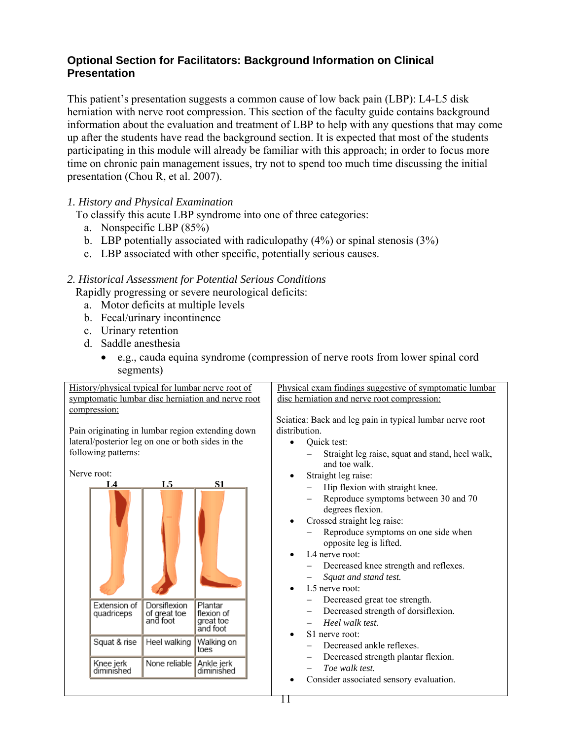## **Optional Section for Facilitators: Background Information on Clinical Presentation**

This patient's presentation suggests a common cause of low back pain (LBP): L4-L5 disk herniation with nerve root compression. This section of the faculty guide contains background information about the evaluation and treatment of LBP to help with any questions that may come up after the students have read the background section. It is expected that most of the students participating in this module will already be familiar with this approach; in order to focus more time on chronic pain management issues, try not to spend too much time discussing the initial presentation (Chou R, et al. 2007).

#### *1. History and Physical Examination*

To classify this acute LBP syndrome into one of three categories:

- a. Nonspecific LBP (85%)
- b. LBP potentially associated with radiculopathy  $(4\%)$  or spinal stenosis  $(3\%)$
- c. LBP associated with other specific, potentially serious causes.

#### *2. Historical Assessment for Potential Serious Conditions*

Rapidly progressing or severe neurological deficits:

- a. Motor deficits at multiple levels
- b. Fecal/urinary incontinence
- c. Urinary retention
- d. Saddle anesthesia
	- e.g., cauda equina syndrome (compression of nerve roots from lower spinal cord segments)

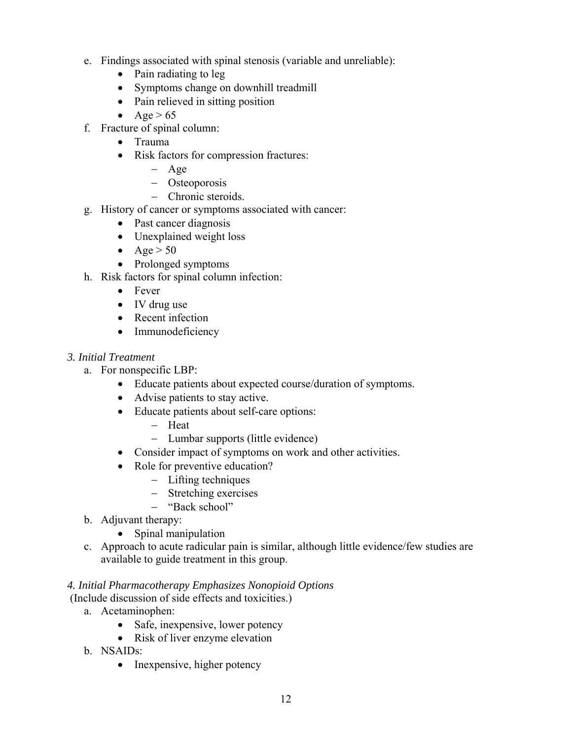- e. Findings associated with spinal stenosis (variable and unreliable):
	- Pain radiating to leg
	- Symptoms change on downhill treadmill
	- Pain relieved in sitting position
	- Age  $> 65$
- f. Fracture of spinal column:
	- Trauma
	- Risk factors for compression fractures:
		- Age
		- Osteoporosis
		- Chronic steroids.
- g. History of cancer or symptoms associated with cancer:
	- Past cancer diagnosis
	- Unexplained weight loss
	- Age  $> 50$
	- Prolonged symptoms
- h. Risk factors for spinal column infection:
	- Fever
	- IV drug use
	- Recent infection
	- Immunodeficiency

#### *3. Initial Treatment*

- a. For nonspecific LBP:
	- Educate patients about expected course/duration of symptoms.
	- Advise patients to stay active.
	- Educate patients about self-care options:
		- Heat
		- Lumbar supports (little evidence)
	- Consider impact of symptoms on work and other activities.
	- Role for preventive education?
		- Lifting techniques
		- Stretching exercises
		- "Back school"
- b. Adjuvant therapy:
	- Spinal manipulation
- c. Approach to acute radicular pain is similar, although little evidence/few studies are available to guide treatment in this group.

#### *4. Initial Pharmacotherapy Emphasizes Nonopioid Options*

- (Include discussion of side effects and toxicities.)
	- a. Acetaminophen:
		- Safe, inexpensive, lower potency
		- Risk of liver enzyme elevation
	- b. NSAIDs:
		- Inexpensive, higher potency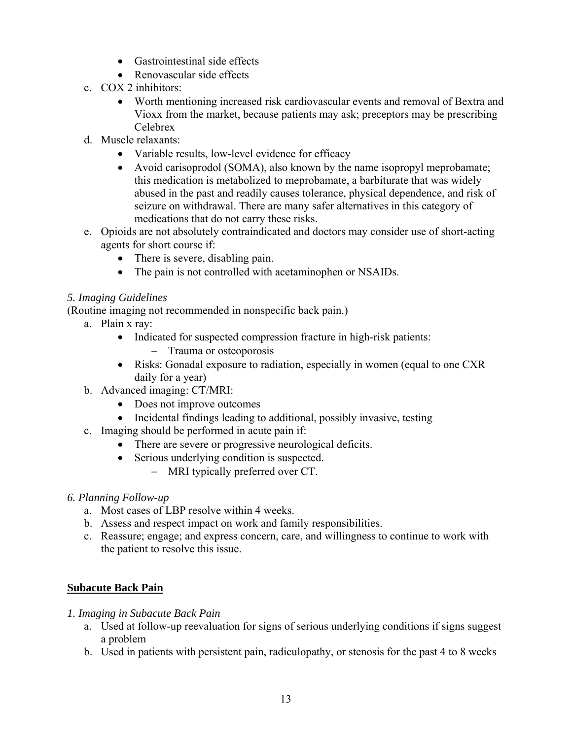- Gastrointestinal side effects
- Renovascular side effects
- c. COX 2 inhibitors:
	- Worth mentioning increased risk cardiovascular events and removal of Bextra and Vioxx from the market, because patients may ask; preceptors may be prescribing Celebrex
- d. Muscle relaxants:
	- Variable results, low-level evidence for efficacy
	- Avoid carisoprodol (SOMA), also known by the name isopropyl meprobamate; this medication is metabolized to meprobamate, a barbiturate that was widely abused in the past and readily causes tolerance, physical dependence, and risk of seizure on withdrawal. There are many safer alternatives in this category of medications that do not carry these risks.
- e. Opioids are not absolutely contraindicated and doctors may consider use of short-acting agents for short course if:
	- There is severe, disabling pain.
	- The pain is not controlled with acetaminophen or NSAIDs.

#### *5. Imaging Guidelines*

(Routine imaging not recommended in nonspecific back pain.)

- a. Plain x ray:
	- Indicated for suspected compression fracture in high-risk patients: - Trauma or osteoporosis
	- Risks: Gonadal exposure to radiation, especially in women (equal to one CXR daily for a year)
- b. Advanced imaging: CT/MRI:
	- Does not improve outcomes
	- Incidental findings leading to additional, possibly invasive, testing
- c. Imaging should be performed in acute pain if:
	- There are severe or progressive neurological deficits.
	- Serious underlying condition is suspected.
		- MRI typically preferred over CT.
- *6. Planning Follow-up* 
	- a. Most cases of LBP resolve within 4 weeks.
	- b. Assess and respect impact on work and family responsibilities.
	- c. Reassure; engage; and express concern, care, and willingness to continue to work with the patient to resolve this issue.

## **Subacute Back Pain**

- *1. Imaging in Subacute Back Pain* 
	- a. Used at follow-up reevaluation for signs of serious underlying conditions if signs suggest a problem
	- b. Used in patients with persistent pain, radiculopathy, or stenosis for the past 4 to 8 weeks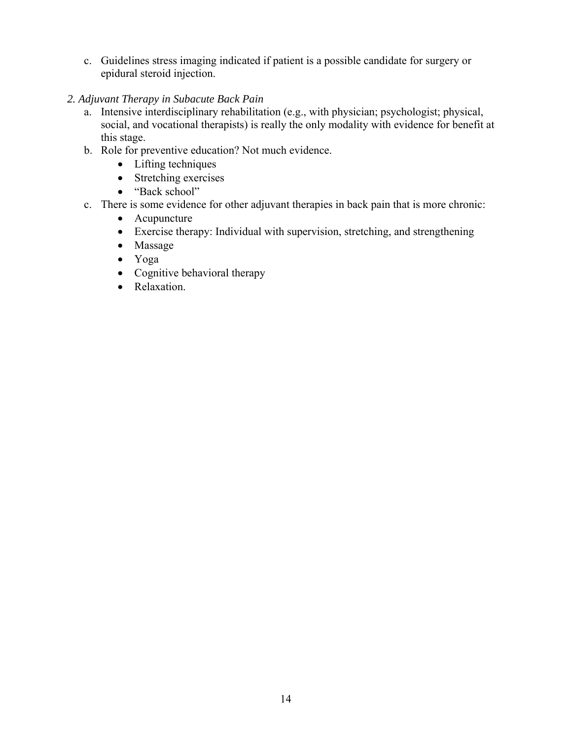- c. Guidelines stress imaging indicated if patient is a possible candidate for surgery or epidural steroid injection.
- *2. Adjuvant Therapy in Subacute Back Pain* 
	- a. Intensive interdisciplinary rehabilitation (e.g., with physician; psychologist; physical, social, and vocational therapists) is really the only modality with evidence for benefit at this stage.
	- b. Role for preventive education? Not much evidence.
		- Lifting techniques
		- Stretching exercises
		- "Back school"
	- c. There is some evidence for other adjuvant therapies in back pain that is more chronic:
		- Acupuncture
		- Exercise therapy: Individual with supervision, stretching, and strengthening
		- Massage
		- Yoga
		- Cognitive behavioral therapy
		- Relaxation.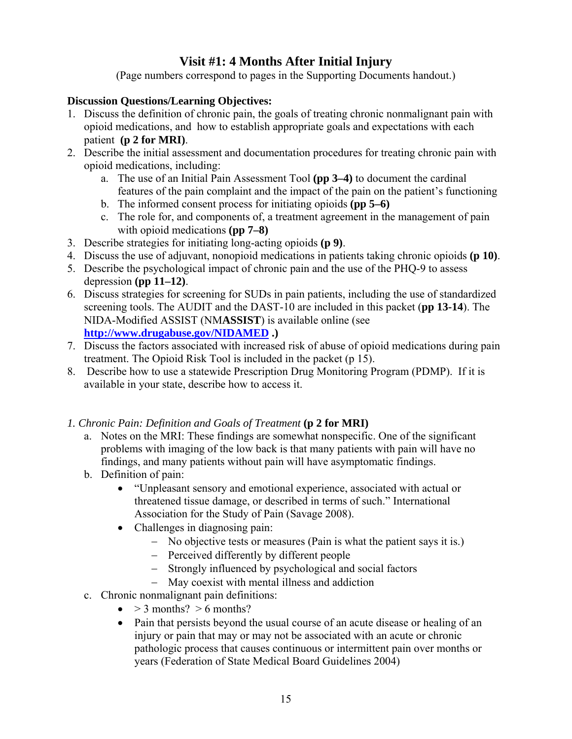# **Visit #1: 4 Months After Initial Injury**

(Page numbers correspond to pages in the Supporting Documents handout.)

## **Discussion Questions/Learning Objectives:**

- 1. Discuss the definition of chronic pain, the goals of treating chronic nonmalignant pain with opioid medications, and how to establish appropriate goals and expectations with each patient **(p 2 for MRI)**.
- 2. Describe the initial assessment and documentation procedures for treating chronic pain with opioid medications, including:
	- a. The use of an Initial Pain Assessment Tool **(pp 3–4)** to document the cardinal features of the pain complaint and the impact of the pain on the patient's functioning
	- b. The informed consent process for initiating opioids **(pp 5–6)**
	- c. The role for, and components of, a treatment agreement in the management of pain with opioid medications **(pp 7–8)**
- 3. Describe strategies for initiating long-acting opioids **(p 9)**.
- 4. Discuss the use of adjuvant, nonopioid medications in patients taking chronic opioids **(p 10)**.
- 5. Describe the psychological impact of chronic pain and the use of the PHQ-9 to assess depression **(pp 11–12)**.
- 6. Discuss strategies for screening for SUDs in pain patients, including the use of standardized screening tools. The AUDIT and the DAST-10 are included in this packet (**pp 13-14**). The NIDA-Modified ASSIST (NM**ASSIST**) is available online (see **http://www.drugabuse.gov/NIDAMED .)**
- 7. Discuss the factors associated with increased risk of abuse of opioid medications during pain treatment. The Opioid Risk Tool is included in the packet (p 15).
- 8. Describe how to use a statewide Prescription Drug Monitoring Program (PDMP). If it is available in your state, describe how to access it.
- *1. Chronic Pain: Definition and Goals of Treatment* **(p 2 for MRI)** 
	- a. Notes on the MRI: These findings are somewhat nonspecific. One of the significant problems with imaging of the low back is that many patients with pain will have no findings, and many patients without pain will have asymptomatic findings.
	- b. Definition of pain:
		- "Unpleasant sensory and emotional experience, associated with actual or threatened tissue damage, or described in terms of such." International Association for the Study of Pain (Savage 2008).
		- Challenges in diagnosing pain:
			- No objective tests or measures (Pain is what the patient says it is.)
			- Perceived differently by different people
			- Strongly influenced by psychological and social factors
			- May coexist with mental illness and addiction
	- c. Chronic nonmalignant pain definitions:
		- $\bullet$  > 3 months? > 6 months?
		- Pain that persists beyond the usual course of an acute disease or healing of an injury or pain that may or may not be associated with an acute or chronic pathologic process that causes continuous or intermittent pain over months or years (Federation of State Medical Board Guidelines 2004)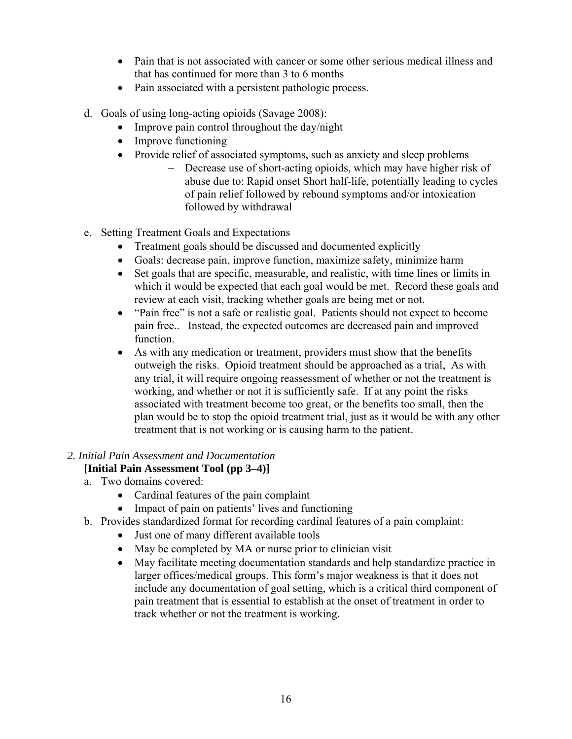- Pain that is not associated with cancer or some other serious medical illness and that has continued for more than 3 to 6 months
- Pain associated with a persistent pathologic process.
- d. Goals of using long-acting opioids (Savage 2008):
	- Improve pain control throughout the day/night
	- Improve functioning
	- Provide relief of associated symptoms, such as anxiety and sleep problems
		- Decrease use of short-acting opioids, which may have higher risk of abuse due to: Rapid onset Short half-life, potentially leading to cycles of pain relief followed by rebound symptoms and/or intoxication followed by withdrawal
- e. Setting Treatment Goals and Expectations
	- Treatment goals should be discussed and documented explicitly
	- Goals: decrease pain, improve function, maximize safety, minimize harm
	- Set goals that are specific, measurable, and realistic, with time lines or limits in which it would be expected that each goal would be met. Record these goals and review at each visit, tracking whether goals are being met or not.
	- "Pain free" is not a safe or realistic goal. Patients should not expect to become pain free.. Instead, the expected outcomes are decreased pain and improved function.
	- As with any medication or treatment, providers must show that the benefits outweigh the risks. Opioid treatment should be approached as a trial, As with any trial, it will require ongoing reassessment of whether or not the treatment is working, and whether or not it is sufficiently safe. If at any point the risks associated with treatment become too great, or the benefits too small, then the plan would be to stop the opioid treatment trial, just as it would be with any other treatment that is not working or is causing harm to the patient.

#### *2. Initial Pain Assessment and Documentation*

## **[Initial Pain Assessment Tool (pp 3–4)]**

- a. Two domains covered:
	- Cardinal features of the pain complaint
	- Impact of pain on patients' lives and functioning
- b. Provides standardized format for recording cardinal features of a pain complaint:
	- Just one of many different available tools
	- May be completed by MA or nurse prior to clinician visit
	- May facilitate meeting documentation standards and help standardize practice in larger offices/medical groups. This form's major weakness is that it does not include any documentation of goal setting, which is a critical third component of pain treatment that is essential to establish at the onset of treatment in order to track whether or not the treatment is working.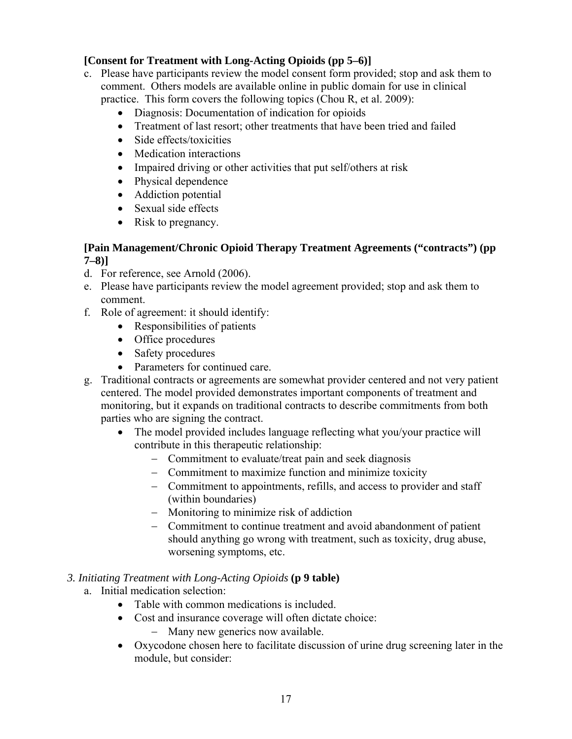#### **[Consent for Treatment with Long-Acting Opioids (pp 5–6)]**

- c. Please have participants review the model consent form provided; stop and ask them to comment. Others models are available online in public domain for use in clinical practice. This form covers the following topics (Chou R, et al. 2009):
	- Diagnosis: Documentation of indication for opioids
	- Treatment of last resort; other treatments that have been tried and failed
	- Side effects/toxicities
	- Medication interactions
	- Impaired driving or other activities that put self/others at risk
	- Physical dependence
	- Addiction potential
	- Sexual side effects
	- Risk to pregnancy.

#### **[Pain Management/Chronic Opioid Therapy Treatment Agreements ("contracts") (pp 7–8)]**

- d. For reference, see Arnold (2006).
- e. Please have participants review the model agreement provided; stop and ask them to comment.
- f. Role of agreement: it should identify:
	- Responsibilities of patients
	- Office procedures
	- Safety procedures
	- Parameters for continued care.
- g. Traditional contracts or agreements are somewhat provider centered and not very patient centered. The model provided demonstrates important components of treatment and monitoring, but it expands on traditional contracts to describe commitments from both parties who are signing the contract.
	- The model provided includes language reflecting what you/your practice will contribute in this therapeutic relationship:
		- Commitment to evaluate/treat pain and seek diagnosis
		- Commitment to maximize function and minimize toxicity
		- Commitment to appointments, refills, and access to provider and staff (within boundaries)
		- Monitoring to minimize risk of addiction
		- Commitment to continue treatment and avoid abandonment of patient should anything go wrong with treatment, such as toxicity, drug abuse, worsening symptoms, etc.

#### *3. Initiating Treatment with Long-Acting Opioids* **(p 9 table)**

- a. Initial medication selection:
	- Table with common medications is included.
	- Cost and insurance coverage will often dictate choice:
		- Many new generics now available.
	- Oxycodone chosen here to facilitate discussion of urine drug screening later in the module, but consider: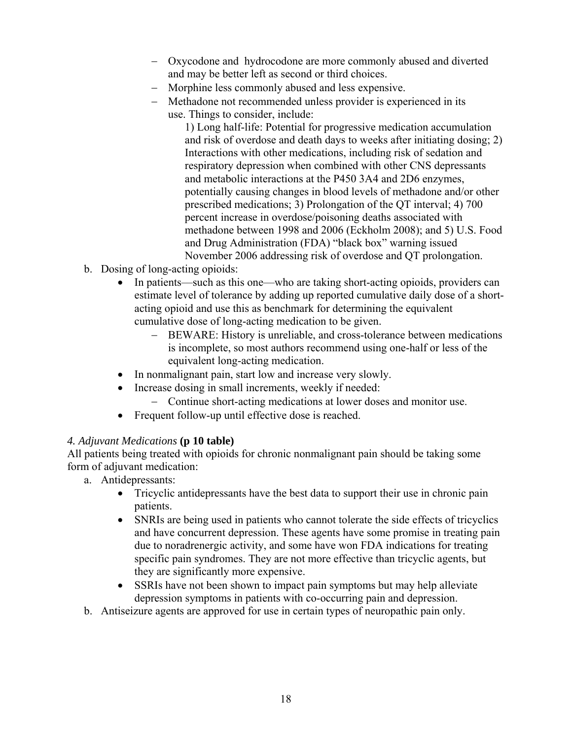- Oxycodone and hydrocodone are more commonly abused and diverted and may be better left as second or third choices.
- Morphine less commonly abused and less expensive.
- Methadone not recommended unless provider is experienced in its use. Things to consider, include:

1) Long half-life: Potential for progressive medication accumulation and risk of overdose and death days to weeks after initiating dosing; 2) Interactions with other medications, including risk of sedation and respiratory depression when combined with other CNS depressants and metabolic interactions at the P450 3A4 and 2D6 enzymes, potentially causing changes in blood levels of methadone and/or other prescribed medications; 3) Prolongation of the QT interval; 4) 700 percent increase in overdose/poisoning deaths associated with methadone between 1998 and 2006 (Eckholm 2008); and 5) U.S. Food and Drug Administration (FDA) "black box" warning issued November 2006 addressing risk of overdose and QT prolongation.

- b. Dosing of long-acting opioids:
	- In patients—such as this one—who are taking short-acting opioids, providers can estimate level of tolerance by adding up reported cumulative daily dose of a shortacting opioid and use this as benchmark for determining the equivalent cumulative dose of long-acting medication to be given.
		- BEWARE: History is unreliable, and cross-tolerance between medications is incomplete, so most authors recommend using one-half or less of the equivalent long-acting medication.
	- In nonmalignant pain, start low and increase very slowly.
	- Increase dosing in small increments, weekly if needed:
		- Continue short-acting medications at lower doses and monitor use.
	- Frequent follow-up until effective dose is reached.

#### *4. Adjuvant Medications* **(p 10 table)**

All patients being treated with opioids for chronic nonmalignant pain should be taking some form of adjuvant medication:

- a. Antidepressants:
	- Tricyclic antidepressants have the best data to support their use in chronic pain patients.
	- SNRIs are being used in patients who cannot tolerate the side effects of tricyclics and have concurrent depression. These agents have some promise in treating pain due to noradrenergic activity, and some have won FDA indications for treating specific pain syndromes. They are not more effective than tricyclic agents, but they are significantly more expensive.
	- SSRIs have not been shown to impact pain symptoms but may help alleviate depression symptoms in patients with co-occurring pain and depression.
- b. Antiseizure agents are approved for use in certain types of neuropathic pain only.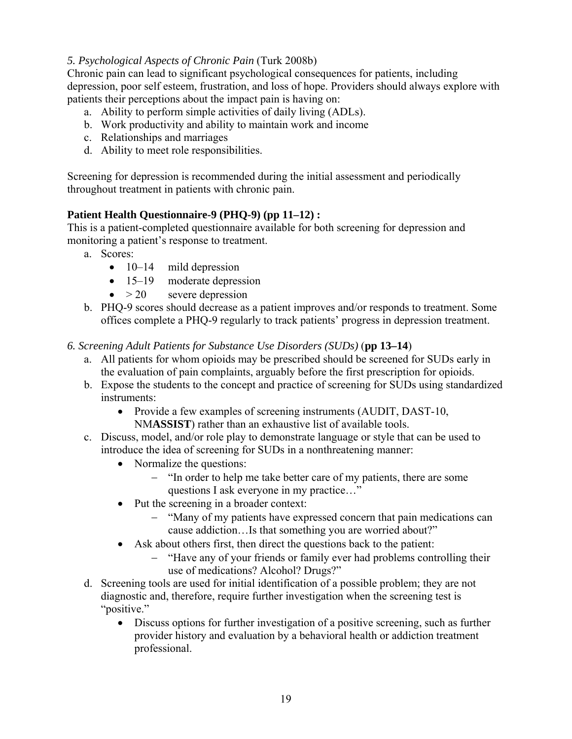#### *5. Psychological Aspects of Chronic Pain* (Turk 2008b)

Chronic pain can lead to significant psychological consequences for patients, including depression, poor self esteem, frustration, and loss of hope. Providers should always explore with patients their perceptions about the impact pain is having on:

- a. Ability to perform simple activities of daily living (ADLs).
- b. Work productivity and ability to maintain work and income
- c. Relationships and marriages
- d. Ability to meet role responsibilities.

Screening for depression is recommended during the initial assessment and periodically throughout treatment in patients with chronic pain.

#### **Patient Health Questionnaire-9 (PHQ-9) (pp 11–12) :**

This is a patient-completed questionnaire available for both screening for depression and monitoring a patient's response to treatment.

- a. Scores:
	- $\bullet$  10–14 mild depression
	- 15–19 moderate depression
	- $\bullet$  > 20 severe depression
- b. PHQ-9 scores should decrease as a patient improves and/or responds to treatment. Some offices complete a PHQ-9 regularly to track patients' progress in depression treatment.
- *6. Screening Adult Patients for Substance Use Disorders (SUDs)* (**pp 13–14**)
	- a. All patients for whom opioids may be prescribed should be screened for SUDs early in the evaluation of pain complaints, arguably before the first prescription for opioids.
	- b. Expose the students to the concept and practice of screening for SUDs using standardized instruments:
		- Provide a few examples of screening instruments (AUDIT, DAST-10, NM**ASSIST**) rather than an exhaustive list of available tools.
	- c. Discuss, model, and/or role play to demonstrate language or style that can be used to introduce the idea of screening for SUDs in a nonthreatening manner:
		- Normalize the questions:
			- "In order to help me take better care of my patients, there are some questions I ask everyone in my practice…"
		- Put the screening in a broader context:
			- "Many of my patients have expressed concern that pain medications can cause addiction…Is that something you are worried about?"
		- Ask about others first, then direct the questions back to the patient:
			- "Have any of your friends or family ever had problems controlling their use of medications? Alcohol? Drugs?"
	- d. Screening tools are used for initial identification of a possible problem; they are not diagnostic and, therefore, require further investigation when the screening test is "positive."
		- Discuss options for further investigation of a positive screening, such as further provider history and evaluation by a behavioral health or addiction treatment professional.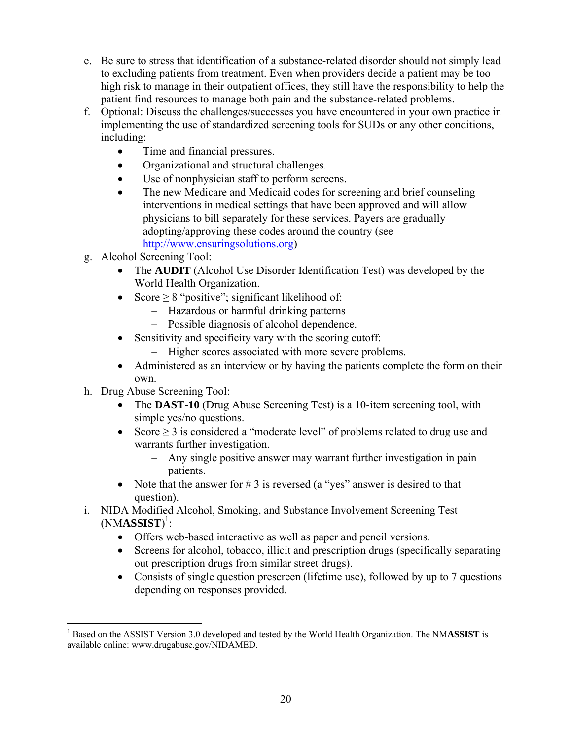- e. Be sure to stress that identification of a substance-related disorder should not simply lead to excluding patients from treatment. Even when providers decide a patient may be too high risk to manage in their outpatient offices, they still have the responsibility to help the patient find resources to manage both pain and the substance-related problems.
- f. Optional: Discuss the challenges/successes you have encountered in your own practice in implementing the use of standardized screening tools for SUDs or any other conditions, including:
	- Time and financial pressures.
	- Organizational and structural challenges.
	- Use of nonphysician staff to perform screens.
	- The new Medicare and Medicaid codes for screening and brief counseling interventions in medical settings that have been approved and will allow physicians to bill separately for these services. Payers are gradually adopting/approving these codes around the country (see http://www.ensuringsolutions.org)
- g. Alcohol Screening Tool:
	- The **AUDIT** (Alcohol Use Disorder Identification Test) was developed by the World Health Organization.
	- Score  $\geq$  8 "positive"; significant likelihood of:
		- Hazardous or harmful drinking patterns
		- Possible diagnosis of alcohol dependence.
	- Sensitivity and specificity vary with the scoring cutoff:
		- Higher scores associated with more severe problems.
	- Administered as an interview or by having the patients complete the form on their own.
- h. Drug Abuse Screening Tool:
	- The **DAST-10** (Drug Abuse Screening Test) is a 10-item screening tool, with simple yes/no questions.
	- Score  $\geq$  3 is considered a "moderate level" of problems related to drug use and warrants further investigation.
		- Any single positive answer may warrant further investigation in pain patients.
	- Note that the answer for  $\# 3$  is reversed (a "yes" answer is desired to that question).
- i. NIDA Modified Alcohol, Smoking, and Substance Involvement Screening Test (NM**ASSIST**) 1 :
	- Offers web-based interactive as well as paper and pencil versions.
	- Screens for alcohol, tobacco, illicit and prescription drugs (specifically separating out prescription drugs from similar street drugs).
	- Consists of single question prescreen (lifetime use), followed by up to 7 questions depending on responses provided.

 $\overline{a}$ <sup>1</sup> Based on the ASSIST Version 3.0 developed and tested by the World Health Organization. The NMASSIST is available online: www.drugabuse.gov/NIDAMED.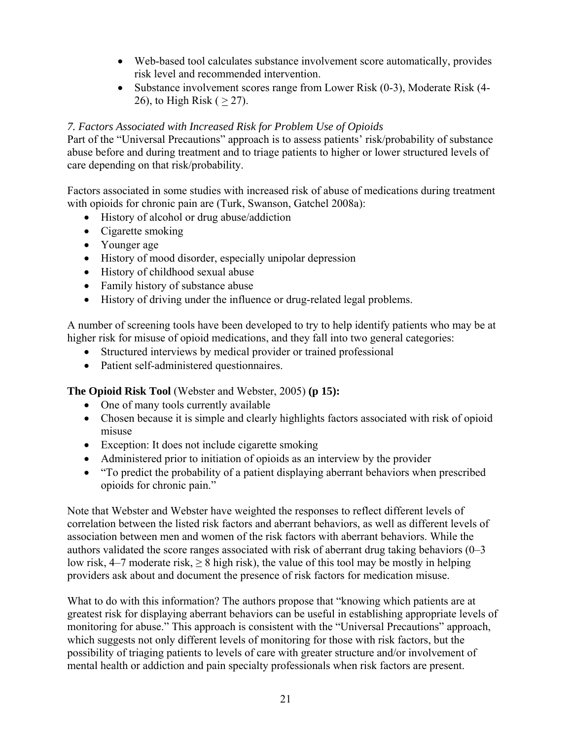- Web-based tool calculates substance involvement score automatically, provides risk level and recommended intervention.
- Substance involvement scores range from Lower Risk (0-3), Moderate Risk (4-26), to High Risk ( $\geq$  27).

#### *7. Factors Associated with Increased Risk for Problem Use of Opioids*

Part of the "Universal Precautions" approach is to assess patients' risk/probability of substance abuse before and during treatment and to triage patients to higher or lower structured levels of care depending on that risk/probability.

Factors associated in some studies with increased risk of abuse of medications during treatment with opioids for chronic pain are (Turk, Swanson, Gatchel 2008a):

- History of alcohol or drug abuse/addiction
- Cigarette smoking
- Younger age
- History of mood disorder, especially unipolar depression
- History of childhood sexual abuse
- Family history of substance abuse
- History of driving under the influence or drug-related legal problems.

A number of screening tools have been developed to try to help identify patients who may be at higher risk for misuse of opioid medications, and they fall into two general categories:

- Structured interviews by medical provider or trained professional
- Patient self-administered questionnaires.

**The Opioid Risk Tool** (Webster and Webster, 2005) **(p 15):** 

- One of many tools currently available
- Chosen because it is simple and clearly highlights factors associated with risk of opioid misuse
- Exception: It does not include cigarette smoking
- Administered prior to initiation of opioids as an interview by the provider
- "To predict the probability of a patient displaying aberrant behaviors when prescribed opioids for chronic pain."

Note that Webster and Webster have weighted the responses to reflect different levels of correlation between the listed risk factors and aberrant behaviors, as well as different levels of association between men and women of the risk factors with aberrant behaviors. While the authors validated the score ranges associated with risk of aberrant drug taking behaviors (0–3 low risk, 4–7 moderate risk,  $\geq 8$  high risk), the value of this tool may be mostly in helping providers ask about and document the presence of risk factors for medication misuse.

What to do with this information? The authors propose that "knowing which patients are at greatest risk for displaying aberrant behaviors can be useful in establishing appropriate levels of monitoring for abuse." This approach is consistent with the "Universal Precautions" approach, which suggests not only different levels of monitoring for those with risk factors, but the possibility of triaging patients to levels of care with greater structure and/or involvement of mental health or addiction and pain specialty professionals when risk factors are present.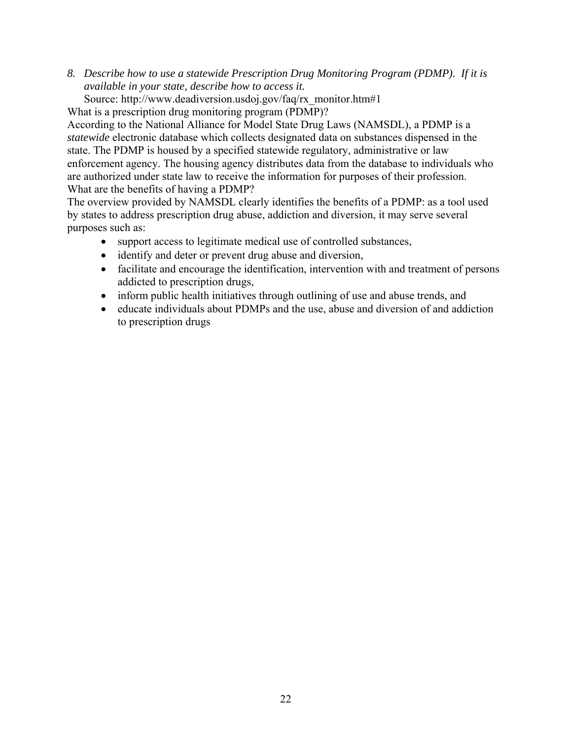*8. Describe how to use a statewide Prescription Drug Monitoring Program (PDMP). If it is available in your state, describe how to access it.* 

Source: http://www.deadiversion.usdoj.gov/faq/rx\_monitor.htm#1

What is a prescription drug monitoring program (PDMP)?

According to the National Alliance for Model State Drug Laws (NAMSDL), a PDMP is a *statewide* electronic database which collects designated data on substances dispensed in the state. The PDMP is housed by a specified statewide regulatory, administrative or law enforcement agency. The housing agency distributes data from the database to individuals who are authorized under state law to receive the information for purposes of their profession. What are the benefits of having a PDMP?

The overview provided by NAMSDL clearly identifies the benefits of a PDMP: as a tool used by states to address prescription drug abuse, addiction and diversion, it may serve several purposes such as:

- support access to legitimate medical use of controlled substances,
- identify and deter or prevent drug abuse and diversion,
- facilitate and encourage the identification, intervention with and treatment of persons addicted to prescription drugs,
- inform public health initiatives through outlining of use and abuse trends, and
- educate individuals about PDMPs and the use, abuse and diversion of and addiction to prescription drugs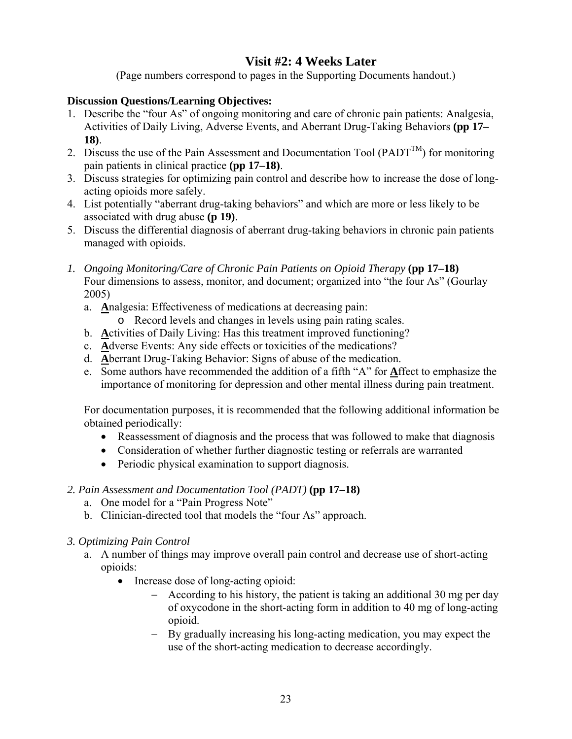# **Visit #2: 4 Weeks Later**

(Page numbers correspond to pages in the Supporting Documents handout.)

#### **Discussion Questions/Learning Objectives:**

- 1. Describe the "four As" of ongoing monitoring and care of chronic pain patients: Analgesia, Activities of Daily Living, Adverse Events, and Aberrant Drug-Taking Behaviors **(pp 17– 18)**.
- 2. Discuss the use of the Pain Assessment and Documentation Tool (PADT<sup>TM</sup>) for monitoring pain patients in clinical practice **(pp 17–18)**.
- 3. Discuss strategies for optimizing pain control and describe how to increase the dose of longacting opioids more safely.
- 4. List potentially "aberrant drug-taking behaviors" and which are more or less likely to be associated with drug abuse **(p 19)**.
- 5. Discuss the differential diagnosis of aberrant drug-taking behaviors in chronic pain patients managed with opioids.
- *1. Ongoing Monitoring/Care of Chronic Pain Patients on Opioid Therapy* **(pp 17–18)**  Four dimensions to assess, monitor, and document; organized into "the four As" (Gourlay 2005)
	- a. **A**nalgesia: Effectiveness of medications at decreasing pain: o Record levels and changes in levels using pain rating scales.
		-
	- b. **A**ctivities of Daily Living: Has this treatment improved functioning?
	- c. **A**dverse Events: Any side effects or toxicities of the medications?
	- d. **A**berrant Drug-Taking Behavior: Signs of abuse of the medication.
	- e. Some authors have recommended the addition of a fifth "A" for **A**ffect to emphasize the importance of monitoring for depression and other mental illness during pain treatment.

For documentation purposes, it is recommended that the following additional information be obtained periodically:

- Reassessment of diagnosis and the process that was followed to make that diagnosis
- Consideration of whether further diagnostic testing or referrals are warranted
- Periodic physical examination to support diagnosis.

#### *2. Pain Assessment and Documentation Tool (PADT)* **(pp 17–18)**

- a. One model for a "Pain Progress Note"
- b. Clinician-directed tool that models the "four As" approach.

#### *3. Optimizing Pain Control*

- a. A number of things may improve overall pain control and decrease use of short-acting opioids:
	- Increase dose of long-acting opioid:
		- According to his history, the patient is taking an additional 30 mg per day of oxycodone in the short-acting form in addition to 40 mg of long-acting opioid.
		- By gradually increasing his long-acting medication, you may expect the use of the short-acting medication to decrease accordingly.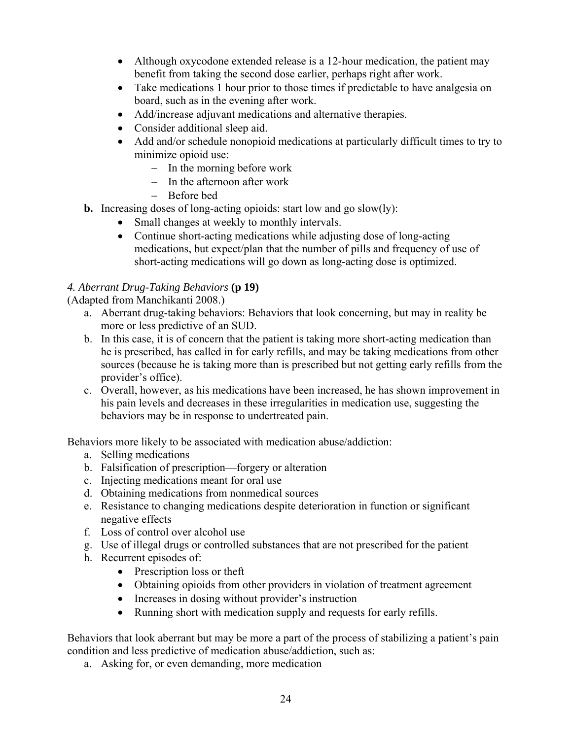- Although oxycodone extended release is a 12-hour medication, the patient may benefit from taking the second dose earlier, perhaps right after work.
- Take medications 1 hour prior to those times if predictable to have analgesia on board, such as in the evening after work.
- Add/increase adjuvant medications and alternative therapies.
- Consider additional sleep aid.
- Add and/or schedule nonopioid medications at particularly difficult times to try to minimize opioid use:
	- $-$  In the morning before work
	- $-$  In the afternoon after work
	- Before bed
- **b.** Increasing doses of long-acting opioids: start low and go slow(ly):
	- Small changes at weekly to monthly intervals.
	- Continue short-acting medications while adjusting dose of long-acting medications, but expect/plan that the number of pills and frequency of use of short-acting medications will go down as long-acting dose is optimized.

## *4. Aberrant Drug-Taking Behaviors* **(p 19)**

(Adapted from Manchikanti 2008.)

- a. Aberrant drug-taking behaviors: Behaviors that look concerning, but may in reality be more or less predictive of an SUD.
- b. In this case, it is of concern that the patient is taking more short-acting medication than he is prescribed, has called in for early refills, and may be taking medications from other sources (because he is taking more than is prescribed but not getting early refills from the provider's office).
- c. Overall, however, as his medications have been increased, he has shown improvement in his pain levels and decreases in these irregularities in medication use, suggesting the behaviors may be in response to undertreated pain.

Behaviors more likely to be associated with medication abuse/addiction:

- a. Selling medications
- b. Falsification of prescription—forgery or alteration
- c. Injecting medications meant for oral use
- d. Obtaining medications from nonmedical sources
- e. Resistance to changing medications despite deterioration in function or significant negative effects
- f. Loss of control over alcohol use
- g. Use of illegal drugs or controlled substances that are not prescribed for the patient
- h. Recurrent episodes of:
	- Prescription loss or theft
	- Obtaining opioids from other providers in violation of treatment agreement
	- Increases in dosing without provider's instruction
	- Running short with medication supply and requests for early refills.

Behaviors that look aberrant but may be more a part of the process of stabilizing a patient's pain condition and less predictive of medication abuse/addiction, such as:

a. Asking for, or even demanding, more medication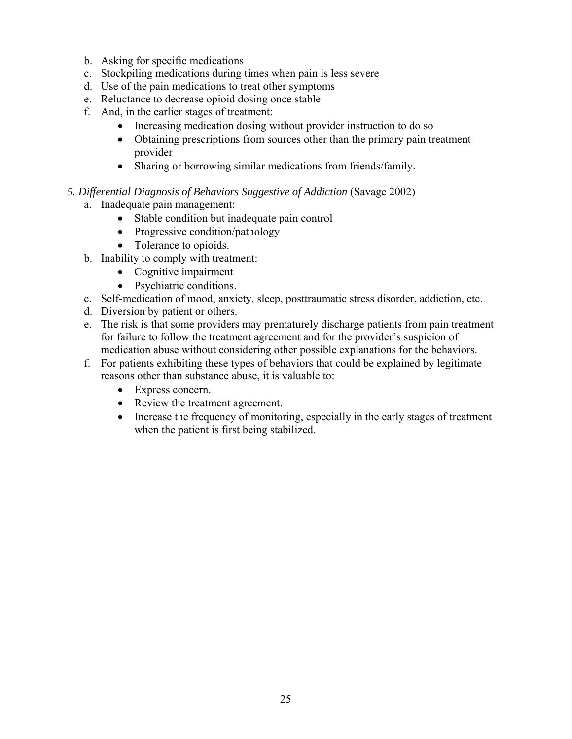- b. Asking for specific medications
- c. Stockpiling medications during times when pain is less severe
- d. Use of the pain medications to treat other symptoms
- e. Reluctance to decrease opioid dosing once stable
- f. And, in the earlier stages of treatment:
	- Increasing medication dosing without provider instruction to do so
	- Obtaining prescriptions from sources other than the primary pain treatment provider
	- Sharing or borrowing similar medications from friends/family.

#### *5. Differential Diagnosis of Behaviors Suggestive of Addiction* (Savage 2002)

- a. Inadequate pain management:
	- Stable condition but inadequate pain control
	- Progressive condition/pathology
	- Tolerance to opioids.
- b. Inability to comply with treatment:
	- Cognitive impairment
	- Psychiatric conditions.
- c. Self-medication of mood, anxiety, sleep, posttraumatic stress disorder, addiction, etc.
- d. Diversion by patient or others.
- e. The risk is that some providers may prematurely discharge patients from pain treatment for failure to follow the treatment agreement and for the provider's suspicion of medication abuse without considering other possible explanations for the behaviors.
- f. For patients exhibiting these types of behaviors that could be explained by legitimate reasons other than substance abuse, it is valuable to:
	- Express concern.
	- Review the treatment agreement.
	- Increase the frequency of monitoring, especially in the early stages of treatment when the patient is first being stabilized.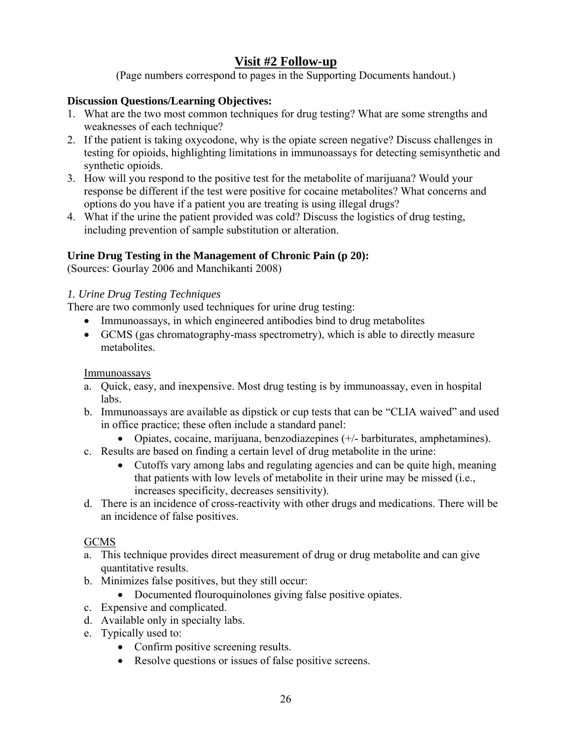# **Visit #2 Follow-up**

(Page numbers correspond to pages in the Supporting Documents handout.)

#### **Discussion Questions/Learning Objectives:**

- 1. What are the two most common techniques for drug testing? What are some strengths and weaknesses of each technique?
- 2. If the patient is taking oxycodone, why is the opiate screen negative? Discuss challenges in testing for opioids, highlighting limitations in immunoassays for detecting semisynthetic and synthetic opioids.
- 3. How will you respond to the positive test for the metabolite of marijuana? Would your response be different if the test were positive for cocaine metabolites? What concerns and options do you have if a patient you are treating is using illegal drugs?
- 4. What if the urine the patient provided was cold? Discuss the logistics of drug testing, including prevention of sample substitution or alteration.

## **Urine Drug Testing in the Management of Chronic Pain (p 20):**

(Sources: Gourlay 2006 and Manchikanti 2008)

#### *1. Urine Drug Testing Techniques*

There are two commonly used techniques for urine drug testing:

- Immunoassays, in which engineered antibodies bind to drug metabolites
- GCMS (gas chromatography-mass spectrometry), which is able to directly measure metabolites.

#### Immunoassays

- a. Quick, easy, and inexpensive. Most drug testing is by immunoassay, even in hospital labs.
- b. Immunoassays are available as dipstick or cup tests that can be "CLIA waived" and used in office practice; these often include a standard panel:
	- Opiates, cocaine, marijuana, benzodiazepines (+/- barbiturates, amphetamines).
- c. Results are based on finding a certain level of drug metabolite in the urine:
	- Cutoffs vary among labs and regulating agencies and can be quite high, meaning that patients with low levels of metabolite in their urine may be missed (i.e., increases specificity, decreases sensitivity).
- d. There is an incidence of cross-reactivity with other drugs and medications. There will be an incidence of false positives.

## **GCMS**

- a. This technique provides direct measurement of drug or drug metabolite and can give quantitative results.
- b. Minimizes false positives, but they still occur:
	- Documented flouroquinolones giving false positive opiates.
- c. Expensive and complicated.
- d. Available only in specialty labs.
- e. Typically used to:
	- Confirm positive screening results.
	- Resolve questions or issues of false positive screens.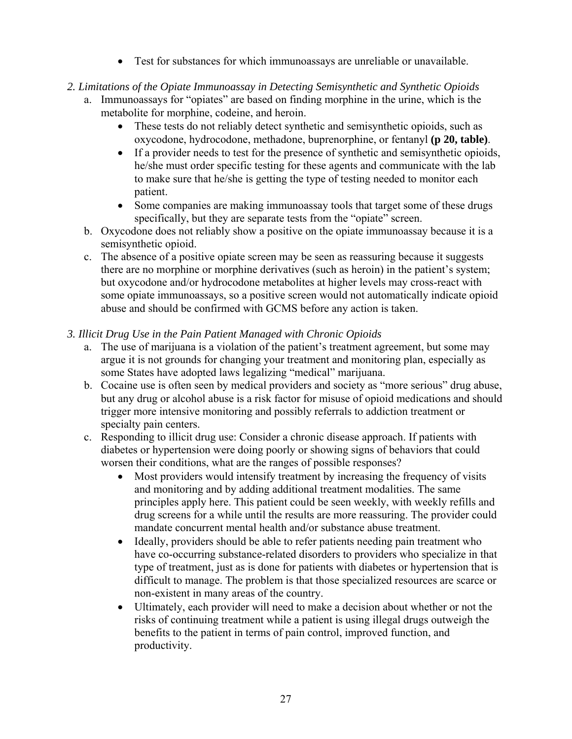- Test for substances for which immunoassays are unreliable or unavailable.
- *2. Limitations of the Opiate Immunoassay in Detecting Semisynthetic and Synthetic Opioids* 
	- a. Immunoassays for "opiates" are based on finding morphine in the urine, which is the metabolite for morphine, codeine, and heroin.
		- These tests do not reliably detect synthetic and semisynthetic opioids, such as oxycodone, hydrocodone, methadone, buprenorphine, or fentanyl **(p 20, table)**.
		- If a provider needs to test for the presence of synthetic and semisynthetic opioids, he/she must order specific testing for these agents and communicate with the lab to make sure that he/she is getting the type of testing needed to monitor each patient.
		- Some companies are making immunoassay tools that target some of these drugs specifically, but they are separate tests from the "opiate" screen.
	- b. Oxycodone does not reliably show a positive on the opiate immunoassay because it is a semisynthetic opioid.
	- c. The absence of a positive opiate screen may be seen as reassuring because it suggests there are no morphine or morphine derivatives (such as heroin) in the patient's system; but oxycodone and/or hydrocodone metabolites at higher levels may cross-react with some opiate immunoassays, so a positive screen would not automatically indicate opioid abuse and should be confirmed with GCMS before any action is taken.

#### *3. Illicit Drug Use in the Pain Patient Managed with Chronic Opioids*

- a. The use of marijuana is a violation of the patient's treatment agreement, but some may argue it is not grounds for changing your treatment and monitoring plan, especially as some States have adopted laws legalizing "medical" marijuana.
- b. Cocaine use is often seen by medical providers and society as "more serious" drug abuse, but any drug or alcohol abuse is a risk factor for misuse of opioid medications and should trigger more intensive monitoring and possibly referrals to addiction treatment or specialty pain centers.
- c. Responding to illicit drug use: Consider a chronic disease approach. If patients with diabetes or hypertension were doing poorly or showing signs of behaviors that could worsen their conditions, what are the ranges of possible responses?
	- Most providers would intensify treatment by increasing the frequency of visits and monitoring and by adding additional treatment modalities. The same principles apply here. This patient could be seen weekly, with weekly refills and drug screens for a while until the results are more reassuring. The provider could mandate concurrent mental health and/or substance abuse treatment.
	- Ideally, providers should be able to refer patients needing pain treatment who have co-occurring substance-related disorders to providers who specialize in that type of treatment, just as is done for patients with diabetes or hypertension that is difficult to manage. The problem is that those specialized resources are scarce or non-existent in many areas of the country.
	- Ultimately, each provider will need to make a decision about whether or not the risks of continuing treatment while a patient is using illegal drugs outweigh the benefits to the patient in terms of pain control, improved function, and productivity.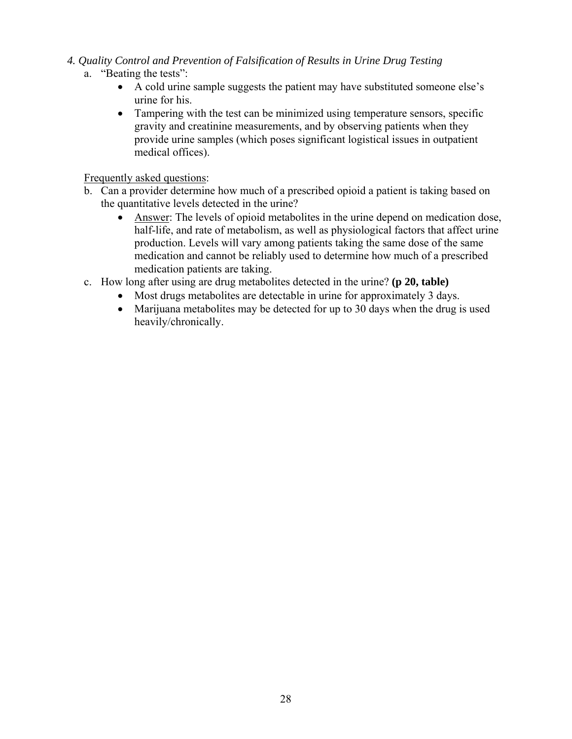- *4. Quality Control and Prevention of Falsification of Results in Urine Drug Testing* 
	- a. "Beating the tests":
		- A cold urine sample suggests the patient may have substituted someone else's urine for his.
		- Tampering with the test can be minimized using temperature sensors, specific gravity and creatinine measurements, and by observing patients when they provide urine samples (which poses significant logistical issues in outpatient medical offices).

Frequently asked questions:

- b. Can a provider determine how much of a prescribed opioid a patient is taking based on the quantitative levels detected in the urine?
	- Answer: The levels of opioid metabolites in the urine depend on medication dose, half-life, and rate of metabolism, as well as physiological factors that affect urine production. Levels will vary among patients taking the same dose of the same medication and cannot be reliably used to determine how much of a prescribed medication patients are taking.
- c. How long after using are drug metabolites detected in the urine? **(p 20, table)** 
	- Most drugs metabolites are detectable in urine for approximately 3 days.
		- Marijuana metabolites may be detected for up to 30 days when the drug is used heavily/chronically.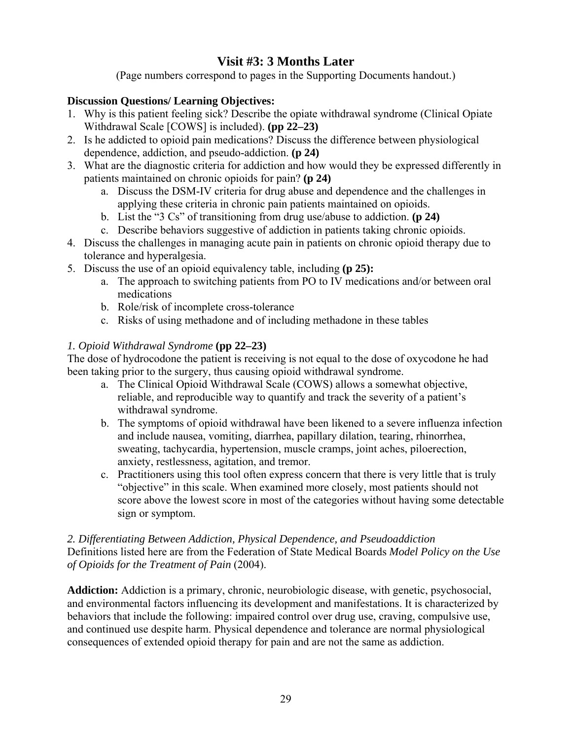# **Visit #3: 3 Months Later**

(Page numbers correspond to pages in the Supporting Documents handout.)

## **Discussion Questions/ Learning Objectives:**

- 1. Why is this patient feeling sick? Describe the opiate withdrawal syndrome (Clinical Opiate Withdrawal Scale [COWS] is included). **(pp 22–23)**
- 2. Is he addicted to opioid pain medications? Discuss the difference between physiological dependence, addiction, and pseudo-addiction. **(p 24)**
- 3. What are the diagnostic criteria for addiction and how would they be expressed differently in patients maintained on chronic opioids for pain? **(p 24)** 
	- a. Discuss the DSM-IV criteria for drug abuse and dependence and the challenges in applying these criteria in chronic pain patients maintained on opioids.
	- b. List the "3 Cs" of transitioning from drug use/abuse to addiction. **(p 24)**
	- c. Describe behaviors suggestive of addiction in patients taking chronic opioids.
- 4. Discuss the challenges in managing acute pain in patients on chronic opioid therapy due to tolerance and hyperalgesia.
- 5. Discuss the use of an opioid equivalency table, including **(p 25):** 
	- a. The approach to switching patients from PO to IV medications and/or between oral medications
	- b. Role/risk of incomplete cross-tolerance
	- c. Risks of using methadone and of including methadone in these tables

# *1. Opioid Withdrawal Syndrome* **(pp 22–23)**

The dose of hydrocodone the patient is receiving is not equal to the dose of oxycodone he had been taking prior to the surgery, thus causing opioid withdrawal syndrome.

- a. The Clinical Opioid Withdrawal Scale (COWS) allows a somewhat objective, reliable, and reproducible way to quantify and track the severity of a patient's withdrawal syndrome.
- b. The symptoms of opioid withdrawal have been likened to a severe influenza infection and include nausea, vomiting, diarrhea, papillary dilation, tearing, rhinorrhea, sweating, tachycardia, hypertension, muscle cramps, joint aches, piloerection, anxiety, restlessness, agitation, and tremor.
- c. Practitioners using this tool often express concern that there is very little that is truly "objective" in this scale. When examined more closely, most patients should not score above the lowest score in most of the categories without having some detectable sign or symptom.

#### *2. Differentiating Between Addiction, Physical Dependence, and Pseudoaddiction*  Definitions listed here are from the Federation of State Medical Boards *Model Policy on the Use of Opioids for the Treatment of Pain* (2004).

**Addiction:** Addiction is a primary, chronic, neurobiologic disease, with genetic, psychosocial, and environmental factors influencing its development and manifestations. It is characterized by behaviors that include the following: impaired control over drug use, craving, compulsive use, and continued use despite harm. Physical dependence and tolerance are normal physiological consequences of extended opioid therapy for pain and are not the same as addiction.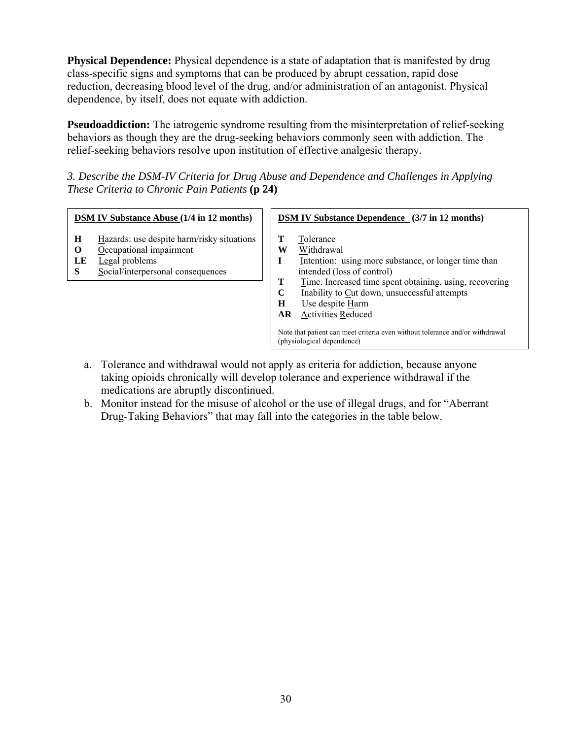**Physical Dependence:** Physical dependence is a state of adaptation that is manifested by drug class-specific signs and symptoms that can be produced by abrupt cessation, rapid dose reduction, decreasing blood level of the drug, and/or administration of an antagonist. Physical dependence, by itself, does not equate with addiction.

**Pseudoaddiction:** The iatrogenic syndrome resulting from the misinterpretation of relief-seeking behaviors as though they are the drug-seeking behaviors commonly seen with addiction. The relief-seeking behaviors resolve upon institution of effective analgesic therapy.

*3. Describe the DSM-IV Criteria for Drug Abuse and Dependence and Challenges in Applying These Criteria to Chronic Pain Patients* **(p 24)** 

| <b>DSM IV Substance Abuse (1/4 in 12 months)</b> |                                                                                                                              | <b>DSM IV Substance Dependence</b> (3/7 in 12 months) |                                                                                                                                                                                                                                                                                                                                                                                         |
|--------------------------------------------------|------------------------------------------------------------------------------------------------------------------------------|-------------------------------------------------------|-----------------------------------------------------------------------------------------------------------------------------------------------------------------------------------------------------------------------------------------------------------------------------------------------------------------------------------------------------------------------------------------|
| H<br>$\Omega$<br>LE<br>S                         | Hazards: use despite harm/risky situations<br>Occupational impairment<br>Legal problems<br>Social/interpersonal consequences | Т<br>W<br>I<br>T<br>$\mathbf C$<br>H<br>AR            | Tolerance<br>Withdrawal<br>Intention: using more substance, or longer time than<br>intended (loss of control)<br>Time. Increased time spent obtaining, using, recovering<br>Inability to Cut down, unsuccessful attempts<br>Use despite Harm<br><b>Activities Reduced</b><br>Note that patient can meet criteria even without tolerance and/or withdrawal<br>(physiological dependence) |

- a. Tolerance and withdrawal would not apply as criteria for addiction, because anyone taking opioids chronically will develop tolerance and experience withdrawal if the medications are abruptly discontinued.
- b. Monitor instead for the misuse of alcohol or the use of illegal drugs, and for "Aberrant" Drug-Taking Behaviors" that may fall into the categories in the table below.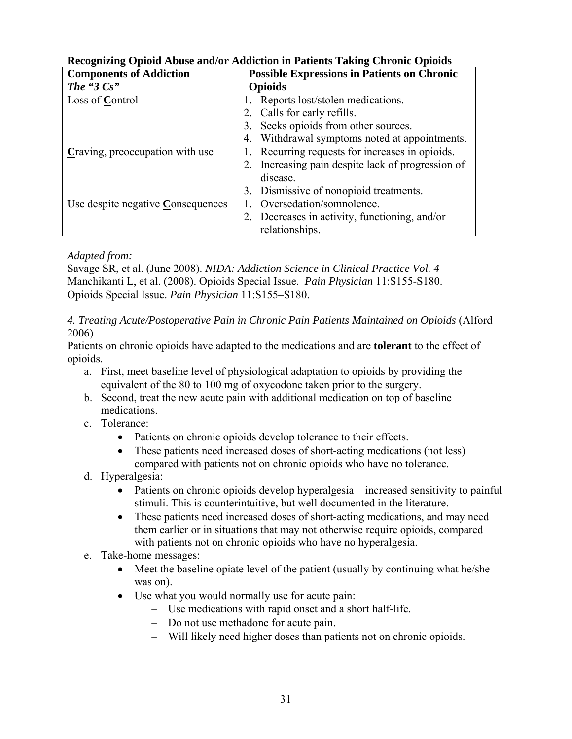| <b>Components of Addiction</b>    | <b>Possible Expressions in Patients on Chronic</b> |  |
|-----------------------------------|----------------------------------------------------|--|
| The "3 $Cs$ "                     | <b>Opioids</b>                                     |  |
| Loss of Control                   | Reports lost/stolen medications.                   |  |
|                                   | Calls for early refills.                           |  |
|                                   | Seeks opioids from other sources.                  |  |
|                                   | Withdrawal symptoms noted at appointments.         |  |
| Craving, preoccupation with use   | Recurring requests for increases in opioids.       |  |
|                                   | Increasing pain despite lack of progression of     |  |
|                                   | disease.                                           |  |
|                                   | Dismissive of nonopioid treatments.<br>3.          |  |
| Use despite negative Consequences | Oversedation/somnolence.                           |  |
|                                   | Decreases in activity, functioning, and/or         |  |
|                                   | relationships.                                     |  |

## **Recognizing Opioid Abuse and/or Addiction in Patients Taking Chronic Opioids**

#### *Adapted from:*

 Savage SR, et al. (June 2008). *NIDA: Addiction Science in Clinical Practice Vol. 4* Manchikanti L, et al. (2008). Opioids Special Issue. *Pain Physician* 11:S155-S180. Opioids Special Issue. *Pain Physician* 11:S155–S180.

#### *4. Treating Acute/Postoperative Pain in Chronic Pain Patients Maintained on Opioids* (Alford 2006)

Patients on chronic opioids have adapted to the medications and are **tolerant** to the effect of opioids.

- a. First, meet baseline level of physiological adaptation to opioids by providing the equivalent of the 80 to 100 mg of oxycodone taken prior to the surgery.
- b. Second, treat the new acute pain with additional medication on top of baseline medications.
- c. Tolerance:
	- Patients on chronic opioids develop tolerance to their effects.
	- These patients need increased doses of short-acting medications (not less) compared with patients not on chronic opioids who have no tolerance.

## d. Hyperalgesia:

- Patients on chronic opioids develop hyperalgesia—increased sensitivity to painful stimuli. This is counterintuitive, but well documented in the literature.
- These patients need increased doses of short-acting medications, and may need them earlier or in situations that may not otherwise require opioids, compared with patients not on chronic opioids who have no hyperalgesia.

#### e. Take-home messages:

- Meet the baseline opiate level of the patient (usually by continuing what he/she was on).
- Use what you would normally use for acute pain:
	- Use medications with rapid onset and a short half-life.
	- Do not use methadone for acute pain.
	- Will likely need higher doses than patients not on chronic opioids.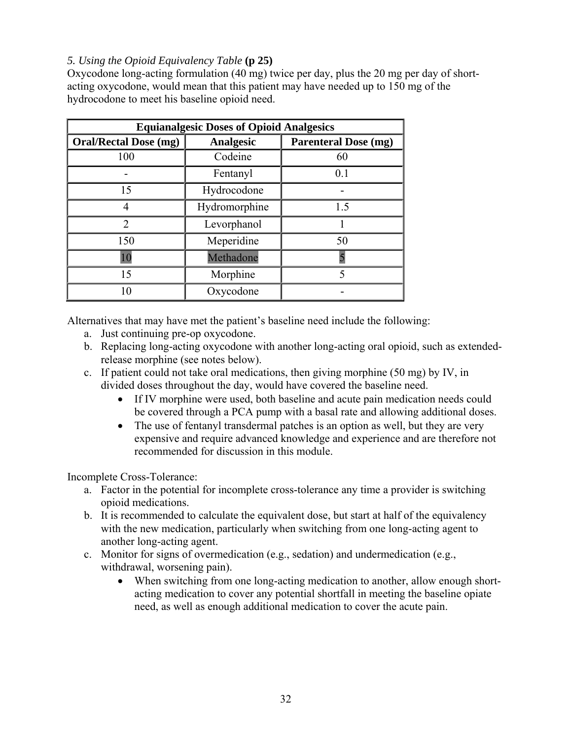#### *5. Using the Opioid Equivalency Table* **(p 25)**

Oxycodone long-acting formulation (40 mg) twice per day, plus the 20 mg per day of shortacting oxycodone, would mean that this patient may have needed up to 150 mg of the hydrocodone to meet his baseline opioid need.

| <b>Equianalgesic Doses of Opioid Analgesics</b> |                  |                             |  |
|-------------------------------------------------|------------------|-----------------------------|--|
| <b>Oral/Rectal Dose (mg)</b>                    | <b>Analgesic</b> | <b>Parenteral Dose (mg)</b> |  |
| 100                                             | Codeine          | 60                          |  |
|                                                 | Fentanyl         | 0.1                         |  |
| 15                                              | Hydrocodone      |                             |  |
|                                                 | Hydromorphine    | 1.5                         |  |
| $\overline{2}$                                  | Levorphanol      |                             |  |
| 150                                             | Meperidine       | 50                          |  |
| 10                                              | Methadone        |                             |  |
| 15                                              | Morphine         |                             |  |
|                                                 | Oxycodone        |                             |  |

Alternatives that may have met the patient's baseline need include the following:

- a. Just continuing pre-op oxycodone.
- b. Replacing long-acting oxycodone with another long-acting oral opioid, such as extendedrelease morphine (see notes below).
- c. If patient could not take oral medications, then giving morphine (50 mg) by IV, in divided doses throughout the day, would have covered the baseline need.
	- If IV morphine were used, both baseline and acute pain medication needs could be covered through a PCA pump with a basal rate and allowing additional doses.
	- The use of fentanyl transdermal patches is an option as well, but they are very expensive and require advanced knowledge and experience and are therefore not recommended for discussion in this module.

Incomplete Cross-Tolerance:

- a. Factor in the potential for incomplete cross-tolerance any time a provider is switching opioid medications.
- another long-acting agent. b. It is recommended to calculate the equivalent dose, but start at half of the equivalency with the new medication, particularly when switching from one long-acting agent to
- c. Monitor for signs of overmedication (e.g., sedation) and undermedication (e.g., withdrawal, worsening pain).
	- When switching from one long-acting medication to another, allow enough shortacting medication to cover any potential shortfall in meeting the baseline opiate need, as well as enough additional medication to cover the acute pain.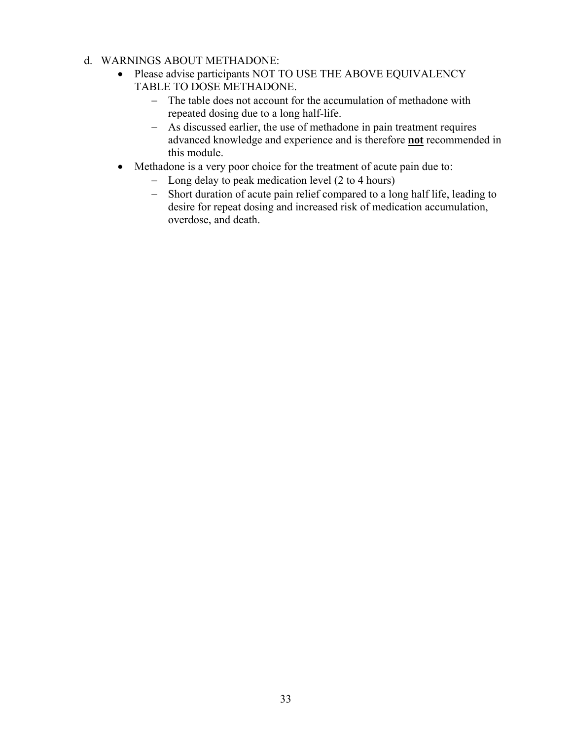- d. WARNINGS ABOUT METHADONE:
	- Please advise participants NOT TO USE THE ABOVE EQUIVALENCY TABLE TO DOSE METHADONE.
		- The table does not account for the accumulation of methadone with repeated dosing due to a long half-life.
		- As discussed earlier, the use of methadone in pain treatment requires advanced knowledge and experience and is therefore **not** recommended in this module.
	- Methadone is a very poor choice for the treatment of acute pain due to:
		- Long delay to peak medication level (2 to 4 hours)
		- Short duration of acute pain relief compared to a long half life, leading to desire for repeat dosing and increased risk of medication accumulation, overdose, and death.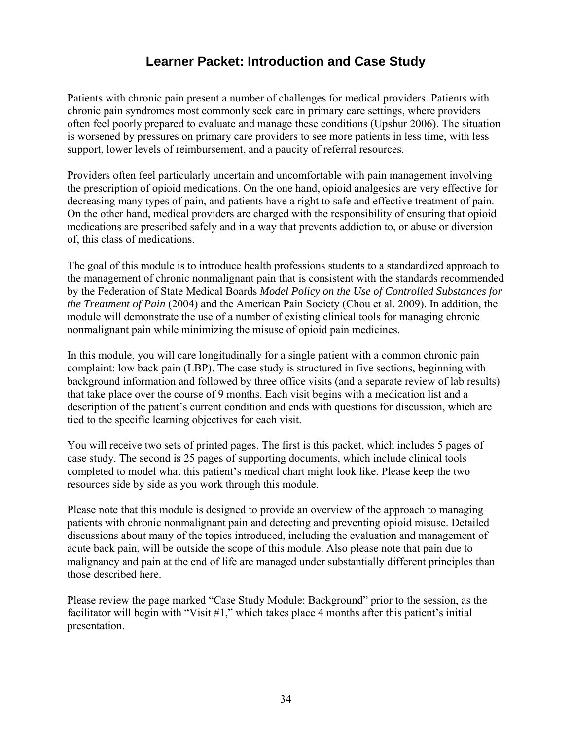# **Learner Packet: Introduction and Case Study**

<span id="page-34-0"></span>Patients with chronic pain present a number of challenges for medical providers. Patients with chronic pain syndromes most commonly seek care in primary care settings, where providers often feel poorly prepared to evaluate and manage these conditions (Upshur 2006). The situation is worsened by pressures on primary care providers to see more patients in less time, with less support, lower levels of reimbursement, and a paucity of referral resources.

Providers often feel particularly uncertain and uncomfortable with pain management involving the prescription of opioid medications. On the one hand, opioid analgesics are very effective for decreasing many types of pain, and patients have a right to safe and effective treatment of pain. On the other hand, medical providers are charged with the responsibility of ensuring that opioid medications are prescribed safely and in a way that prevents addiction to, or abuse or diversion of, this class of medications.

The goal of this module is to introduce health professions students to a standardized approach to the management of chronic nonmalignant pain that is consistent with the standards recommended by the Federation of State Medical Boards *Model Policy on the Use of Controlled Substances for the Treatment of Pain* (2004) and the American Pain Society (Chou et al. 2009). In addition, the module will demonstrate the use of a number of existing clinical tools for managing chronic nonmalignant pain while minimizing the misuse of opioid pain medicines.

In this module, you will care longitudinally for a single patient with a common chronic pain complaint: low back pain (LBP). The case study is structured in five sections, beginning with background information and followed by three office visits (and a separate review of lab results) that take place over the course of 9 months. Each visit begins with a medication list and a description of the patient's current condition and ends with questions for discussion, which are tied to the specific learning objectives for each visit.

You will receive two sets of printed pages. The first is this packet, which includes 5 pages of case study. The second is 25 pages of supporting documents, which include clinical tools completed to model what this patient's medical chart might look like. Please keep the two resources side by side as you work through this module.

Please note that this module is designed to provide an overview of the approach to managing patients with chronic nonmalignant pain and detecting and preventing opioid misuse. Detailed discussions about many of the topics introduced, including the evaluation and management of acute back pain, will be outside the scope of this module. Also please note that pain due to malignancy and pain at the end of life are managed under substantially different principles than those described here.

Please review the page marked "Case Study Module: Background" prior to the session, as the facilitator will begin with "Visit #1," which takes place 4 months after this patient's initial presentation.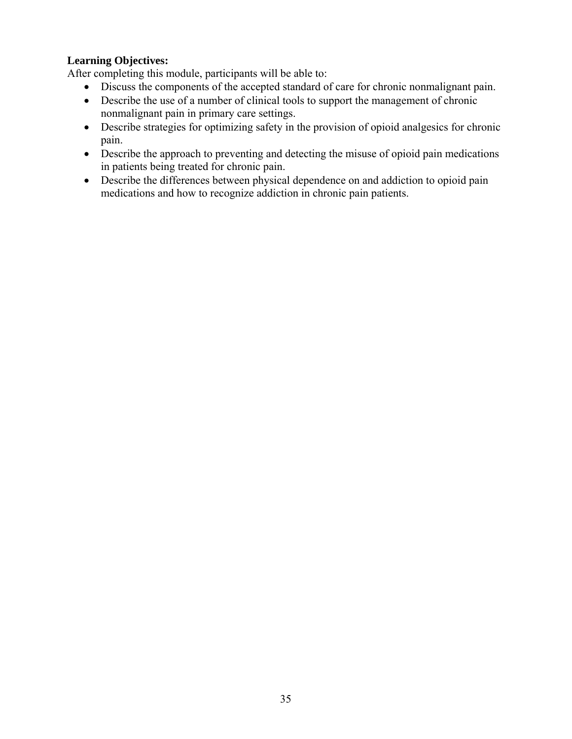#### **Learning Objectives:**

After completing this module, participants will be able to:

- Discuss the components of the accepted standard of care for chronic nonmalignant pain.
- Describe the use of a number of clinical tools to support the management of chronic nonmalignant pain in primary care settings.
- Describe strategies for optimizing safety in the provision of opioid analgesics for chronic pain.
- Describe the approach to preventing and detecting the misuse of opioid pain medications in patients being treated for chronic pain.
- Describe the differences between physical dependence on and addiction to opioid pain medications and how to recognize addiction in chronic pain patients.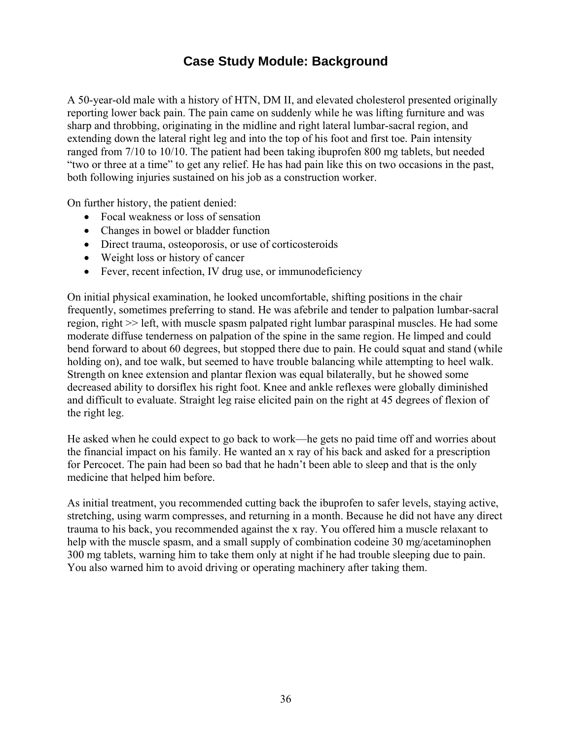# **Case Study Module: Background**

<span id="page-36-0"></span>A 50-year-old male with a history of HTN, DM II, and elevated cholesterol presented originally reporting lower back pain. The pain came on suddenly while he was lifting furniture and was sharp and throbbing, originating in the midline and right lateral lumbar-sacral region, and extending down the lateral right leg and into the top of his foot and first toe. Pain intensity ranged from 7/10 to 10/10. The patient had been taking ibuprofen 800 mg tablets, but needed "two or three at a time" to get any relief. He has had pain like this on two occasions in the past, both following injuries sustained on his job as a construction worker.

On further history, the patient denied:

- Focal weakness or loss of sensation
- Changes in bowel or bladder function
- Direct trauma, osteoporosis, or use of corticosteroids
- Weight loss or history of cancer
- Fever, recent infection, IV drug use, or immunodeficiency

On initial physical examination, he looked uncomfortable, shifting positions in the chair frequently, sometimes preferring to stand. He was afebrile and tender to palpation lumbar-sacral region, right >> left, with muscle spasm palpated right lumbar paraspinal muscles. He had some moderate diffuse tenderness on palpation of the spine in the same region. He limped and could bend forward to about 60 degrees, but stopped there due to pain. He could squat and stand (while holding on), and toe walk, but seemed to have trouble balancing while attempting to heel walk. Strength on knee extension and plantar flexion was equal bilaterally, but he showed some decreased ability to dorsiflex his right foot. Knee and ankle reflexes were globally diminished and difficult to evaluate. Straight leg raise elicited pain on the right at 45 degrees of flexion of the right leg.

He asked when he could expect to go back to work—he gets no paid time off and worries about the financial impact on his family. He wanted an x ray of his back and asked for a prescription for Percocet. The pain had been so bad that he hadn't been able to sleep and that is the only medicine that helped him before.

As initial treatment, you recommended cutting back the ibuprofen to safer levels, staying active, stretching, using warm compresses, and returning in a month. Because he did not have any direct trauma to his back, you recommended against the x ray. You offered him a muscle relaxant to help with the muscle spasm, and a small supply of combination codeine 30 mg/acetaminophen 300 mg tablets, warning him to take them only at night if he had trouble sleeping due to pain. You also warned him to avoid driving or operating machinery after taking them.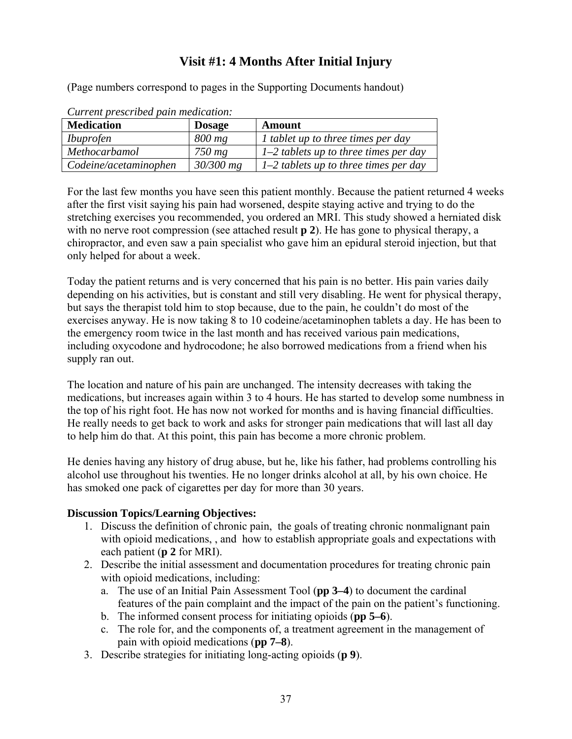# **Visit #1: 4 Months After Initial Injury**

(Page numbers correspond to pages in the Supporting Documents handout)

| Current prescribed pain medication. |               |                                         |  |
|-------------------------------------|---------------|-----------------------------------------|--|
| <b>Medication</b>                   | <b>Dosage</b> | Amount                                  |  |
| <i>Ibuprofen</i>                    | 800 mg        | I tablet up to three times per day      |  |
| Methocarbamol                       | $750$ mg      | $1-2$ tablets up to three times per day |  |
| Codeine/acetaminophen               | $30/300$ mg   | $1-2$ tablets up to three times per day |  |

*Current prescribed pain medication:* 

For the last few months you have seen this patient monthly. Because the patient returned 4 weeks after the first visit saying his pain had worsened, despite staying active and trying to do the stretching exercises you recommended, you ordered an MRI. This study showed a herniated disk with no nerve root compression (see attached result **p 2**). He has gone to physical therapy, a chiropractor, and even saw a pain specialist who gave him an epidural steroid injection, but that only helped for about a week.

Today the patient returns and is very concerned that his pain is no better. His pain varies daily depending on his activities, but is constant and still very disabling. He went for physical therapy, but says the therapist told him to stop because, due to the pain, he couldn't do most of the exercises anyway. He is now taking 8 to 10 codeine/acetaminophen tablets a day. He has been to the emergency room twice in the last month and has received various pain medications, including oxycodone and hydrocodone; he also borrowed medications from a friend when his supply ran out.

The location and nature of his pain are unchanged. The intensity decreases with taking the medications, but increases again within 3 to 4 hours. He has started to develop some numbness in the top of his right foot. He has now not worked for months and is having financial difficulties. He really needs to get back to work and asks for stronger pain medications that will last all day to help him do that. At this point, this pain has become a more chronic problem.

He denies having any history of drug abuse, but he, like his father, had problems controlling his alcohol use throughout his twenties. He no longer drinks alcohol at all, by his own choice. He has smoked one pack of cigarettes per day for more than 30 years.

#### **Discussion Topics/Learning Objectives:**

- 1. Discuss the definition of chronic pain, the goals of treating chronic nonmalignant pain with opioid medications, , and how to establish appropriate goals and expectations with each patient (**p 2** for MRI).
- 2. Describe the initial assessment and documentation procedures for treating chronic pain with opioid medications, including:
	- a. The use of an Initial Pain Assessment Tool (**pp 3–4**) to document the cardinal features of the pain complaint and the impact of the pain on the patient's functioning.
	- b. The informed consent process for initiating opioids (**pp 5–6**).
	- c. The role for, and the components of, a treatment agreement in the management of pain with opioid medications (**pp 7–8**).
- 3. Describe strategies for initiating long-acting opioids (**p 9**).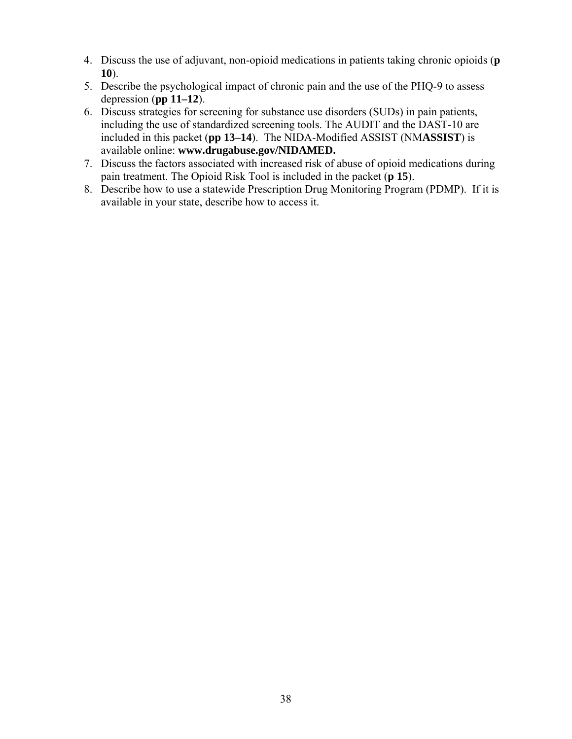- 4. Discuss the use of adjuvant, non-opioid medications in patients taking chronic opioids (**p 10**).
- 5. Describe the psychological impact of chronic pain and the use of the PHQ-9 to assess depression (**pp 11–12**).
- 6. Discuss strategies for screening for substance use disorders (SUDs) in pain patients, including the use of standardized screening tools. The AUDIT and the DAST-10 are included in this packet (**pp 13–14**). The NIDA-Modified ASSIST (NM**ASSIST**) is available online: **www.drugabuse.gov/NIDAMED.**
- 7. Discuss the factors associated with increased risk of abuse of opioid medications during pain treatment. The Opioid Risk Tool is included in the packet (**p 15**).
- 8. Describe how to use a statewide Prescription Drug Monitoring Program (PDMP). If it is available in your state, describe how to access it.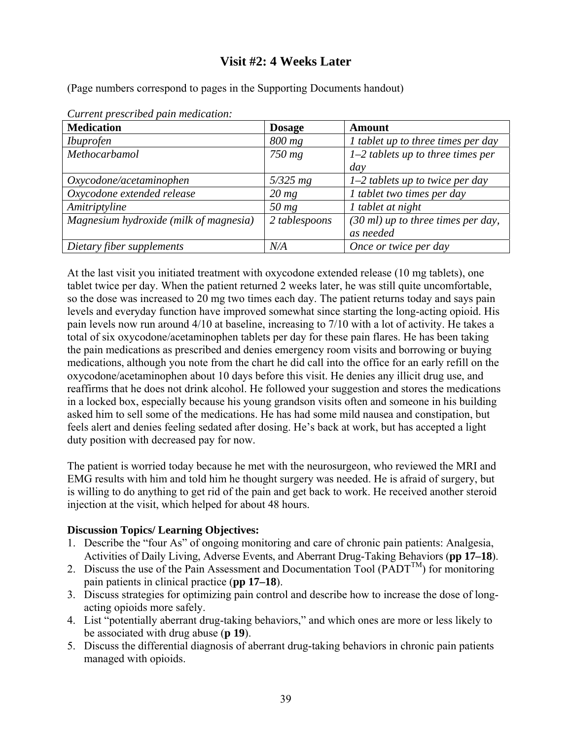# **Visit #2: 4 Weeks Later**

(Page numbers correspond to pages in the Supporting Documents handout)

| Carrena presentoca pata meateaton.     |               |                                              |
|----------------------------------------|---------------|----------------------------------------------|
| <b>Medication</b>                      | <b>Dosage</b> | <b>Amount</b>                                |
| <i>Ibuprofen</i>                       | 800 mg        | I tablet up to three times per day           |
| Methocarbamol                          | 750 mg        | $1-2$ tablets up to three times per          |
|                                        |               | day                                          |
| Oxycodone/acetaminophen                | $5/325$ mg    | $1-2$ tablets up to twice per day            |
| Oxycodone extended release             | $20$ mg       | 1 tablet two times per day                   |
| Amitriptyline                          | $50$ mg       | 1 tablet at night                            |
| Magnesium hydroxide (milk of magnesia) | 2 tablespoons | $(30 \text{ ml})$ up to three times per day, |
|                                        |               | as needed                                    |
| Dietary fiber supplements              | N/A           | Once or twice per day                        |

*Current prescribed pain medication:* 

At the last visit you initiated treatment with oxycodone extended release (10 mg tablets), one tablet twice per day. When the patient returned 2 weeks later, he was still quite uncomfortable, so the dose was increased to 20 mg two times each day. The patient returns today and says pain levels and everyday function have improved somewhat since starting the long-acting opioid. His pain levels now run around 4/10 at baseline, increasing to 7/10 with a lot of activity. He takes a total of six oxycodone/acetaminophen tablets per day for these pain flares. He has been taking the pain medications as prescribed and denies emergency room visits and borrowing or buying medications, although you note from the chart he did call into the office for an early refill on the oxycodone/acetaminophen about 10 days before this visit. He denies any illicit drug use, and reaffirms that he does not drink alcohol. He followed your suggestion and stores the medications in a locked box, especially because his young grandson visits often and someone in his building asked him to sell some of the medications. He has had some mild nausea and constipation, but feels alert and denies feeling sedated after dosing. He's back at work, but has accepted a light duty position with decreased pay for now.

The patient is worried today because he met with the neurosurgeon, who reviewed the MRI and EMG results with him and told him he thought surgery was needed. He is afraid of surgery, but is willing to do anything to get rid of the pain and get back to work. He received another steroid injection at the visit, which helped for about 48 hours.

#### **Discussion Topics/ Learning Objectives:**

- 1. Describe the "four As" of ongoing monitoring and care of chronic pain patients: Analgesia, Activities of Daily Living, Adverse Events, and Aberrant Drug-Taking Behaviors (**pp 17–18**).
- 2. Discuss the use of the Pain Assessment and Documentation Tool (PADT<sup>TM</sup>) for monitoring pain patients in clinical practice (**pp 17–18**).
- 3. Discuss strategies for optimizing pain control and describe how to increase the dose of longacting opioids more safely.
- 4. List "potentially aberrant drug-taking behaviors," and which ones are more or less likely to be associated with drug abuse (**p 19**).
- 5. Discuss the differential diagnosis of aberrant drug-taking behaviors in chronic pain patients managed with opioids.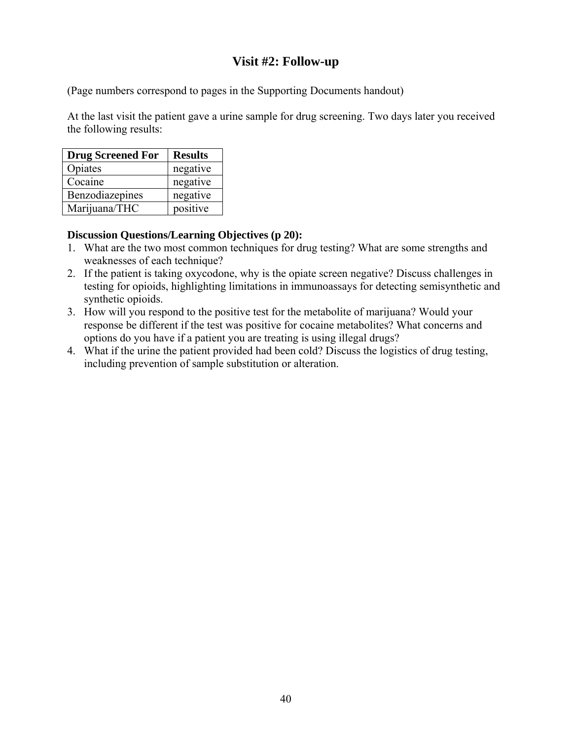# **Visit #2: Follow-up**

(Page numbers correspond to pages in the Supporting Documents handout)

At the last visit the patient gave a urine sample for drug screening. Two days later you received the following results:

| <b>Drug Screened For</b> | <b>Results</b> |
|--------------------------|----------------|
| Opiates                  | negative       |
| Cocaine                  | negative       |
| Benzodiazepines          | negative       |
| Marijuana/THC            | positive       |

#### **Discussion Questions/Learning Objectives (p 20):**

- 1. What are the two most common techniques for drug testing? What are some strengths and weaknesses of each technique?
- 2. If the patient is taking oxycodone, why is the opiate screen negative? Discuss challenges in testing for opioids, highlighting limitations in immunoassays for detecting semisynthetic and synthetic opioids.
- 3. How will you respond to the positive test for the metabolite of marijuana? Would your response be different if the test was positive for cocaine metabolites? What concerns and options do you have if a patient you are treating is using illegal drugs?
- 4. What if the urine the patient provided had been cold? Discuss the logistics of drug testing, including prevention of sample substitution or alteration.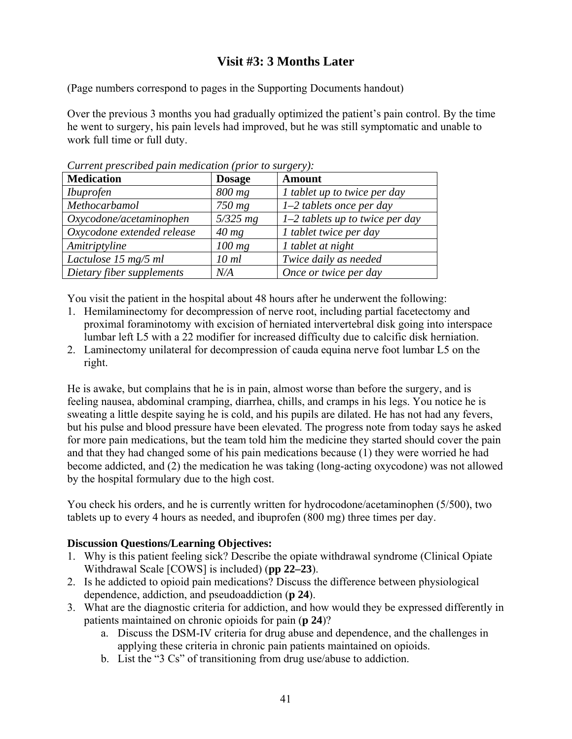# **Visit #3: 3 Months Later**

(Page numbers correspond to pages in the Supporting Documents handout)

Over the previous 3 months you had gradually optimized the patient's pain control. By the time he went to surgery, his pain levels had improved, but he was still symptomatic and unable to work full time or full duty.

| <b>Medication</b>          | <b>Dosage</b> | <b>Amount</b>                       |
|----------------------------|---------------|-------------------------------------|
| <i>Ibuprofen</i>           | 800 mg        | <i>l</i> tablet up to twice per day |
| Methocarbamol              | $750$ mg      | $1-2$ tablets once per day          |
| Oxycodone/acetaminophen    | $5/325$ mg    | $1-2$ tablets up to twice per day   |
| Oxycodone extended release | $40$ mg       | 1 tablet twice per day              |
| Amitriptyline              | $100$ mg      | 1 tablet at night                   |
| Lactulose 15 mg/5 ml       | 10 ml         | Twice daily as needed               |
| Dietary fiber supplements  | N/A           | Once or twice per day               |

*Current prescribed pain medication (prior to surgery)* 

You visit the patient in the hospital about 48 hours after he underwent the following:

- 1. Hemilaminectomy for decompression of nerve root, including partial facetectomy and proximal foraminotomy with excision of herniated intervertebral disk going into interspace lumbar left L5 with a 22 modifier for increased difficulty due to calcific disk herniation.
- 2. Laminectomy unilateral for decompression of cauda equina nerve foot lumbar L5 on the right.

He is awake, but complains that he is in pain, almost worse than before the surgery, and is feeling nausea, abdominal cramping, diarrhea, chills, and cramps in his legs. You notice he is sweating a little despite saying he is cold, and his pupils are dilated. He has not had any fevers, but his pulse and blood pressure have been elevated. The progress note from today says he asked for more pain medications, but the team told him the medicine they started should cover the pain and that they had changed some of his pain medications because (1) they were worried he had become addicted, and (2) the medication he was taking (long-acting oxycodone) was not allowed by the hospital formulary due to the high cost.

You check his orders, and he is currently written for hydrocodone/acetaminophen (5/500), two tablets up to every 4 hours as needed, and ibuprofen (800 mg) three times per day.

#### **Discussion Questions/Learning Objectives:**

- 1. Why is this patient feeling sick? Describe the opiate withdrawal syndrome (Clinical Opiate Withdrawal Scale [COWS] is included) (**pp 22–23**).
- 2. Is he addicted to opioid pain medications? Discuss the difference between physiological dependence, addiction, and pseudoaddiction (**p 24**).
- 3. What are the diagnostic criteria for addiction, and how would they be expressed differently in patients maintained on chronic opioids for pain (**p 24**)?
	- a. Discuss the DSM-IV criteria for drug abuse and dependence, and the challenges in applying these criteria in chronic pain patients maintained on opioids.
	- b. List the "3 Cs" of transitioning from drug use/abuse to addiction.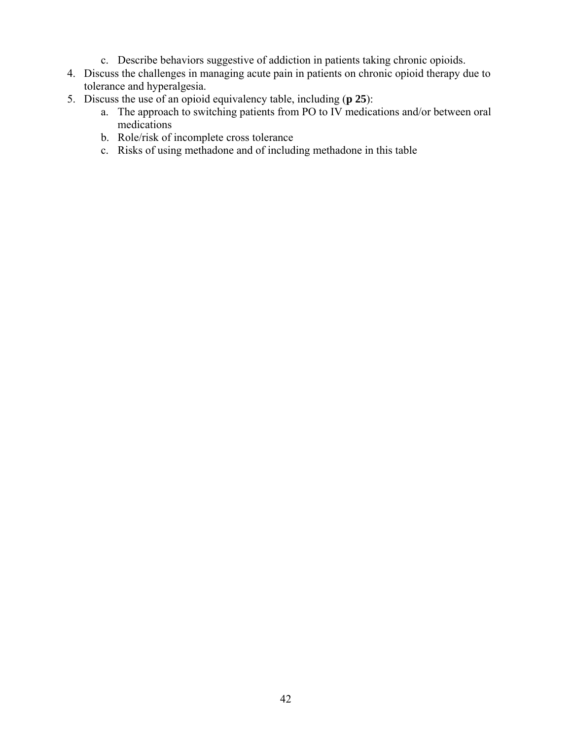- c. Describe behaviors suggestive of addiction in patients taking chronic opioids.
- 4. Discuss the challenges in managing acute pain in patients on chronic opioid therapy due to tolerance and hyperalgesia.
- 5. Discuss the use of an opioid equivalency table, including (**p 25**):
	- a. The approach to switching patients from PO to IV medications and/or between oral medications
	- b. Role/risk of incomplete cross tolerance
	- c. Risks of using methadone and of including methadone in this table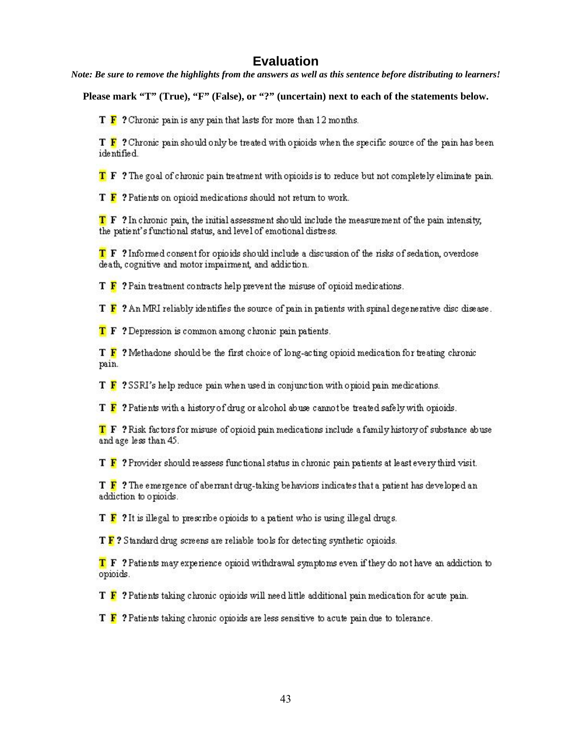# **Evaluation**

<span id="page-43-0"></span>*Note: Be sure to remove the highlights from the answers as well as this sentence before distributing to learners!* 

**Please mark "T" (True), "F" (False), or "?" (uncertain) next to each of the statements below.** 

 $T \ F$  ? Chronic pain is any pain that lasts for more than 12 months.

T F ? Chronic pain should only be treated with opioids when the specific source of the pain has been identified.

T F ? The goal of chronic pain treatment with opioids is to reduce but not completely eliminate pain.

T F ? Patients on opioid medications should not return to work.

T F ? In chronic pain, the initial assessment should include the measurement of the pain intensity, the patient's functional status, and level of emotional distress.

T F ? Informed consent for opioids should include a discussion of the risks of sedation, overdose death, cognitive and motor impairment, and addiction.

 $T \ F$ ? Pain treatment contracts help prevent the misuse of opioid medications.

 $T \ F$ ? An MRI reliably identifies the source of pain in patients with spinal degenerative disc disease.

**T** F ? Depression is common among chronic pain patients.

T F ? Methadone should be the first choice of long-acting opioid medication for treating chronic pain.

T F ? SSRI's help reduce pain when used in conjunction with opioid pain medications.

T  $\mathbf F$  ? Patients with a history of drug or alcohol abuse cannot be treated safely with opioids.

T F? Risk factors for misuse of opioid pain medications include a family history of substance abuse and age less than 45.

T F ? Provider should reassess functional status in chronic pain patients at least every third visit.

 $T$   $\overline{F}$  ? The emergence of aberrant drug-taking behaviors indicates that a patient has developed an addiction to opioids.

 $T \ F$  ? It is illegal to prescribe opioids to a patient who is using illegal drugs.

T F? Standard drug screens are reliable tools for detecting synthetic opioids.

T F ? Patients may experience opioid withdrawal symptoms even if they do not have an addiction to opioids.

T F ? Patients taking chronic opioids will need little additional pain medication for acute pain.

T F ? Patients taking chronic opioids are less sensitive to acute pain due to tolerance.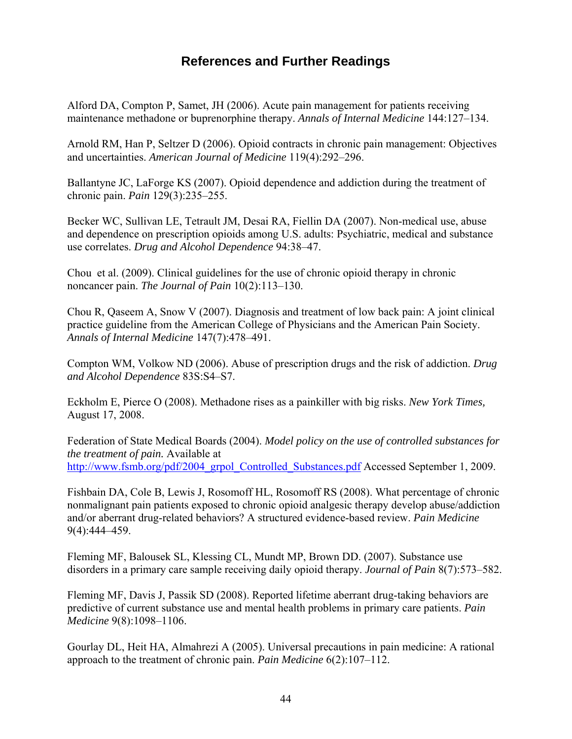# **References and Further Readings**

<span id="page-44-0"></span>Alford DA, Compton P, Samet, JH (2006). Acute pain management for patients receiving maintenance methadone or buprenorphine therapy. *Annals of Internal Medicine* 144:127–134.

Arnold RM, Han P, Seltzer D (2006). Opioid contracts in chronic pain management: Objectives and uncertainties. *American Journal of Medicine* 119(4):292–296.

Ballantyne JC, LaForge KS (2007). Opioid dependence and addiction during the treatment of chronic pain. *Pain* 129(3):235–255.

Becker WC, Sullivan LE, Tetrault JM, Desai RA, Fiellin DA (2007). Non-medical use, abuse and dependence on prescription opioids among U.S. adults: Psychiatric, medical and substance use correlates. *Drug and Alcohol Dependence* 94:38–47.

Chou et al. (2009). Clinical guidelines for the use of chronic opioid therapy in chronic noncancer pain. *The Journal of Pain* 10(2):113–130.

Chou R, Qaseem A, Snow V (2007). Diagnosis and treatment of low back pain: A joint clinical practice guideline from the American College of Physicians and the American Pain Society. *Annals of Internal Medicine* 147(7):478–491.

Compton WM, Volkow ND (2006). Abuse of prescription drugs and the risk of addiction. *Drug and Alcohol Dependence* 83S:S4–S7.

Eckholm E, Pierce O (2008). Methadone rises as a painkiller with big risks. *New York Times,*  August 17, 2008.

Federation of State Medical Boards (2004). *Model policy on the use of controlled substances for the treatment of pain.* Available at http://www.fsmb.org/pdf/2004\_grpol\_Controlled\_Substances.pdf Accessed September 1, 2009.

Fishbain DA, Cole B, Lewis J, Rosomoff HL, Rosomoff RS (2008). What percentage of chronic nonmalignant pain patients exposed to chronic opioid analgesic therapy develop abuse/addiction and/or aberrant drug-related behaviors? A structured evidence-based review. *Pain Medicine*  9(4):444–459.

Fleming MF, Balousek SL, Klessing CL, Mundt MP, Brown DD. (2007). Substance use disorders in a primary care sample receiving daily opioid therapy. *Journal of Pain* 8(7):573–582.

Fleming MF, Davis J, Passik SD (2008). Reported lifetime aberrant drug-taking behaviors are predictive of current substance use and mental health problems in primary care patients. *Pain Medicine* 9(8):1098–1106.

Gourlay DL, Heit HA, Almahrezi A (2005). Universal precautions in pain medicine: A rational approach to the treatment of chronic pain. *Pain Medicine* 6(2):107–112.